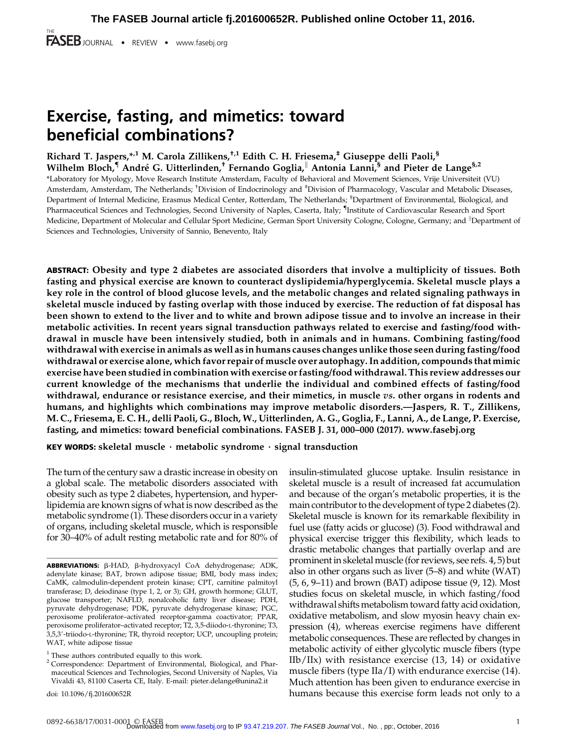**FASEB** JOURNAL • REVIEW • [www.fasebj.org](http://www.fasebj.org)

# Exercise, fasting, and mimetics: toward beneficial combinations?

Richard T. Jaspers, \*,<sup>1</sup> M. Carola Zillikens, <sup>+,1</sup> Edith C. H. Friesema,<sup>†</sup> Giuseppe delli Paoli, <sup>§</sup> Wilhelm Bloch,<sup>¶</sup> André G. Uitterlinden,<sup>†</sup> Fernando Goglia,<sup>||</sup> Antonia Lanni,§ and Pieter de Lange<sup>§,2</sup> \*Laboratory for Myology, Move Research Institute Amsterdam, Faculty of Behavioral and Movement Sciences, Vrije Universiteit (VU) Amsterdam, Amsterdam, The Netherlands; <sup>†</sup>Division of Endocrinology and <sup>‡</sup>Division of Pharmacology, Vascular and Metabolic Diseases, Department of Internal Medicine, Erasmus Medical Center, Rotterdam, The Netherlands; § Department of Environmental, Biological, and Pharmaceutical Sciences and Technologies, Second University of Naples, Caserta, Italy; { Institute of Cardiovascular Research and Sport Medicine, Department of Molecular and Cellular Sport Medicine, German Sport University Cologne, Cologne, Germany; and "Department of Sciences and Technologies, University of Sannio, Benevento, Italy

ABSTRACT: Obesity and type 2 diabetes are associated disorders that involve a multiplicity of tissues. Both fasting and physical exercise are known to counteract dyslipidemia/hyperglycemia. Skeletal muscle plays a key role in the control of blood glucose levels, and the metabolic changes and related signaling pathways in skeletal muscle induced by fasting overlap with those induced by exercise. The reduction of fat disposal has been shown to extend to the liver and to white and brown adipose tissue and to involve an increase in their metabolic activities. In recent years signal transduction pathways related to exercise and fasting/food withdrawal in muscle have been intensively studied, both in animals and in humans. Combining fasting/food withdrawal with exercise in animals as well as in humans causes changes unlike those seen during fasting/food withdrawal or exercise alone, which favor repair of muscle over autophagy. In addition, compounds that mimic exercise have been studied in combination with exercise or fasting/food withdrawal. This review addresses our current knowledge of the mechanisms that underlie the individual and combined effects of fasting/food withdrawal, endurance or resistance exercise, and their mimetics, in muscle  $vs.$  other organs in rodents and humans, and highlights which combinations may improve metabolic disorders.—Jaspers, R. T., Zillikens, M. C., Friesema, E. C. H., delli Paoli, G., Bloch, W., Uitterlinden, A. G., Goglia, F., Lanni, A., de Lange, P. Exercise, fasting, and mimetics: toward beneficial combinations. FASEB J. 31, 000–000 (2017). [www.fasebj.org](http://www.fasebj.org)

**KEY WORDS:** skeletal muscle  $\cdot$  metabolic syndrome  $\cdot$  signal transduction

The turn of the century saw a drastic increase in obesity on a global scale. The metabolic disorders associated with obesity such as type 2 diabetes, hypertension, and hyperlipidemia are known signs of what is now described as the metabolic syndrome (1). These disorders occur in a variety of organs, including skeletal muscle, which is responsible for 30–40% of adult resting metabolic rate and for 80% of

doi: 10.1096/fj.201600652R

insulin-stimulated glucose uptake. Insulin resistance in skeletal muscle is a result of increased fat accumulation and because of the organ's metabolic properties, it is the main contributor to the development of type 2 diabetes (2). Skeletal muscle is known for its remarkable flexibility in fuel use (fatty acids or glucose) (3). Food withdrawal and physical exercise trigger this flexibility, which leads to drastic metabolic changes that partially overlap and are prominent in skeletal muscle (for reviews, see refs. 4, 5) but also in other organs such as liver (5–8) and white (WAT) (5, 6, 9–11) and brown (BAT) adipose tissue (9, 12). Most studies focus on skeletal muscle, in which fasting/food withdrawal shifts metabolism toward fatty acid oxidation, oxidative metabolism, and slow myosin heavy chain expression (4), whereas exercise regimens have different metabolic consequences. These are reflected by changes in metabolic activity of either glycolytic muscle fibers (type IIb/IIx) with resistance exercise (13, 14) or oxidative muscle fibers (type IIa/I) with endurance exercise (14). Much attention has been given to endurance exercise in humans because this exercise form leads not only to a

ABBREVIATIONS: β-HAD, β-hydroxyacyl CoA dehydrogenase; ADK, adenylate kinase; BAT, brown adipose tissue; BMI, body mass index; CaMK, calmodulin-dependent protein kinase; CPT, carnitine palmitoyl transferase; D, deiodinase (type 1, 2, or 3); GH, growth hormone; GLUT, glucose transporter; NAFLD, nonalcoholic fatty liver disease; PDH, pyruvate dehydrogenase; PDK, pyruvate dehydrogenase kinase; PGC, peroxisome proliferator–activated receptor-gamma coactivator; PPAR, peroxisome proliferator–activated receptor; T2, 3,5-diiodo-L-thyronine; T3, 3,5,3'-triiodo-L-thyronine; TR, thyroid receptor; UCP, uncoupling protein; WAT, white adipose tissue

 $1$  These authors contributed equally to this work.

<sup>&</sup>lt;sup>2</sup> Correspondence: Department of Environmental, Biological, and Pharmaceutical Sciences and Technologies, Second University of Naples, Via Vivaldi 43, 81100 Caserta CE, Italy. E-mail: [pieter.delange@unina2.it](mailto:pieter.delange@unina2.it)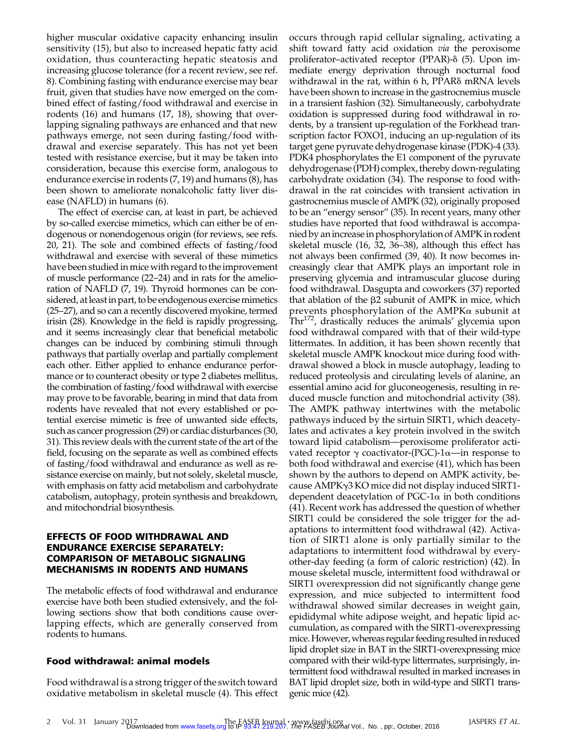higher muscular oxidative capacity enhancing insulin sensitivity (15), but also to increased hepatic fatty acid oxidation, thus counteracting hepatic steatosis and increasing glucose tolerance (for a recent review, see ref. 8). Combining fasting with endurance exercise may bear fruit, given that studies have now emerged on the combined effect of fasting/food withdrawal and exercise in rodents (16) and humans (17, 18), showing that overlapping signaling pathways are enhanced and that new pathways emerge, not seen during fasting/food withdrawal and exercise separately. This has not yet been tested with resistance exercise, but it may be taken into consideration, because this exercise form, analogous to endurance exercise in rodents (7, 19) and humans (8), has been shown to ameliorate nonalcoholic fatty liver disease (NAFLD) in humans (6).

The effect of exercise can, at least in part, be achieved by so-called exercise mimetics, which can either be of endogenous or nonendogenous origin (for reviews, see refs. 20, 21). The sole and combined effects of fasting/food withdrawal and exercise with several of these mimetics have been studied in mice with regard to the improvement of muscle performance (22–24) and in rats for the amelioration of NAFLD (7, 19). Thyroid hormones can be considered, at least in part, to be endogenous exercisemimetics (25–27), and so can a recently discovered myokine, termed irisin (28). Knowledge in the field is rapidly progressing, and it seems increasingly clear that beneficial metabolic changes can be induced by combining stimuli through pathways that partially overlap and partially complement each other. Either applied to enhance endurance performance or to counteract obesity or type 2 diabetes mellitus, the combination of fasting/food withdrawal with exercise may prove to be favorable, bearing in mind that data from rodents have revealed that not every established or potential exercise mimetic is free of unwanted side effects, such as cancer progression (29) or cardiac disturbances (30, 31). This review deals with the current state of the art of the field, focusing on the separate as well as combined effects of fasting/food withdrawal and endurance as well as resistance exercise on mainly, but not solely, skeletal muscle, with emphasis on fatty acid metabolism and carbohydrate catabolism, autophagy, protein synthesis and breakdown, and mitochondrial biosynthesis.

#### EFFECTS OF FOOD WITHDRAWAL AND ENDURANCE EXERCISE SEPARATELY: COMPARISON OF METABOLIC SIGNALING MECHANISMS IN RODENTS AND HUMANS

The metabolic effects of food withdrawal and endurance exercise have both been studied extensively, and the following sections show that both conditions cause overlapping effects, which are generally conserved from rodents to humans.

# Food withdrawal: animal models

Food withdrawal is a strong trigger of the switch toward oxidative metabolism in skeletal muscle (4). This effect

occurs through rapid cellular signaling, activating a shift toward fatty acid oxidation via the peroxisome proliferator–activated receptor (PPAR)- $\delta$  (5). Upon immediate energy deprivation through nocturnal food withdrawal in the rat, within 6 h, PPAR $\delta$  mRNA levels have been shown to increase in the gastrocnemius muscle in a transient fashion (32). Simultaneously, carbohydrate oxidation is suppressed during food withdrawal in rodents, by a transient up-regulation of the Forkhead transcription factor FOXO1, inducing an up-regulation of its target gene pyruvate dehydrogenase kinase (PDK)-4 (33). PDK4 phosphorylates the E1 component of the pyruvate dehydrogenase (PDH) complex, thereby down-regulating carbohydrate oxidation (34). The response to food withdrawal in the rat coincides with transient activation in gastrocnemius muscle of AMPK (32), originally proposed to be an "energy sensor" (35). In recent years, many other studies have reported that food withdrawal is accompanied by anincrease in phosphorylation of AMPK in rodent skeletal muscle (16, 32, 36–38), although this effect has not always been confirmed (39, 40). It now becomes increasingly clear that AMPK plays an important role in preserving glycemia and intramuscular glucose during food withdrawal. Dasgupta and coworkers (37) reported that ablation of the  $\beta$ 2 subunit of AMPK in mice, which prevents phosphorylation of the AMPKa subunit at  $\text{Thr}^{172}$ , drastically reduces the animals' glycemia upon food withdrawal compared with that of their wild-type littermates. In addition, it has been shown recently that skeletal muscle AMPK knockout mice during food withdrawal showed a block in muscle autophagy, leading to reduced proteolysis and circulating levels of alanine, an essential amino acid for gluconeogenesis, resulting in reduced muscle function and mitochondrial activity (38). The AMPK pathway intertwines with the metabolic pathways induced by the sirtuin SIRT1, which deacetylates and activates a key protein involved in the switch toward lipid catabolism—peroxisome proliferator activated receptor  $\gamma$  coactivator-(PGC)-1 $\alpha$ —in response to both food withdrawal and exercise (41), which has been shown by the authors to depend on AMPK activity, because  $AMPK\gamma3 KO$  mice did not display induced SIRT1dependent deacetylation of  $PGC-1\alpha$  in both conditions (41). Recent work has addressed the question of whether SIRT1 could be considered the sole trigger for the adaptations to intermittent food withdrawal (42). Activation of SIRT1 alone is only partially similar to the adaptations to intermittent food withdrawal by everyother-day feeding (a form of caloric restriction) (42). In mouse skeletal muscle, intermittent food withdrawal or SIRT1 overexpression did not significantly change gene expression, and mice subjected to intermittent food withdrawal showed similar decreases in weight gain, epididymal white adipose weight, and hepatic lipid accumulation, as compared with the SIRT1-overexpressing mice. However, whereas regular feeding resulted in reduced lipid droplet size in BAT in the SIRT1-overexpressing mice compared with their wild-type littermates, surprisingly, intermittent food withdrawal resulted in marked increases in BAT lipid droplet size, both in wild-type and SIRT1 transgenic mice (42).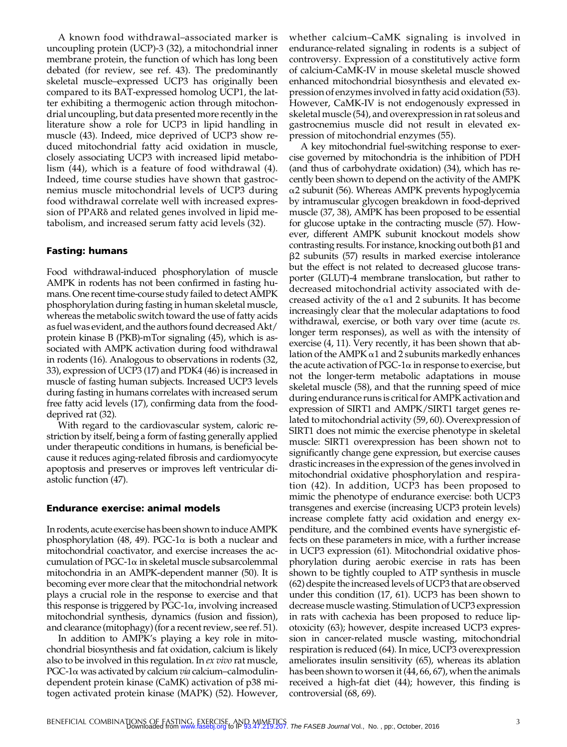A known food withdrawal–associated marker is uncoupling protein (UCP)-3 (32), a mitochondrial inner membrane protein, the function of which has long been debated (for review, see ref. 43). The predominantly skeletal muscle–expressed UCP3 has originally been compared to its BAT-expressed homolog UCP1, the latter exhibiting a thermogenic action through mitochondrial uncoupling, but data presented more recently in the literature show a role for UCP3 in lipid handling in muscle (43). Indeed, mice deprived of UCP3 show reduced mitochondrial fatty acid oxidation in muscle, closely associating UCP3 with increased lipid metabolism (44), which is a feature of food withdrawal (4). Indeed, time course studies have shown that gastrocnemius muscle mitochondrial levels of UCP3 during food withdrawal correlate well with increased expression of PPAR $\delta$  and related genes involved in lipid metabolism, and increased serum fatty acid levels (32).

#### Fasting: humans

Food withdrawal-induced phosphorylation of muscle AMPK in rodents has not been confirmed in fasting humans. One recent time-course study failed to detect AMPK phosphorylation during fasting in human skeletal muscle, whereas the metabolic switch toward the use of fatty acids as fuel was evident, and the authors found decreased Akt/ protein kinase B (PKB)-mTor signaling (45), which is associated with AMPK activation during food withdrawal in rodents (16). Analogous to observations in rodents (32, 33), expression of UCP3 (17) and PDK4 (46) is increased in muscle of fasting human subjects. Increased UCP3 levels during fasting in humans correlates with increased serum free fatty acid levels (17), confirming data from the fooddeprived rat (32).

With regard to the cardiovascular system, caloric restriction by itself, being a form of fasting generally applied under therapeutic conditions in humans, is beneficial because it reduces aging-related fibrosis and cardiomyocyte apoptosis and preserves or improves left ventricular diastolic function (47).

#### Endurance exercise: animal models

In rodents, acute exercise has been shown to induce AMPK phosphorylation (48, 49). PGC-1 $\alpha$  is both a nuclear and mitochondrial coactivator, and exercise increases the accumulation of  $PGC-1\alpha$  in skeletal muscle subsarcolemmal mitochondria in an AMPK-dependent manner (50). It is becoming ever more clear that the mitochondrial network plays a crucial role in the response to exercise and that this response is triggered by  $PGC-1\alpha$ , involving increased mitochondrial synthesis, dynamics (fusion and fission), and clearance (mitophagy) (for a recent review, see ref. 51).

In addition to AMPK's playing a key role in mitochondrial biosynthesis and fat oxidation, calcium is likely also to be involved in this regulation. In ex vivo rat muscle,  $PGC-1\alpha$  was activated by calcium *via* calcium–calmodulindependent protein kinase (CaMK) activation of p38 mitogen activated protein kinase (MAPK) (52). However,

whether calcium–CaMK signaling is involved in endurance-related signaling in rodents is a subject of controversy. Expression of a constitutively active form of calcium-CaMK-IV in mouse skeletal muscle showed enhanced mitochondrial biosynthesis and elevated expression of enzymes involved in fatty acid oxidation (53). However, CaMK-IV is not endogenously expressed in skeletal muscle (54), and overexpression in rat soleus and gastrocnemius muscle did not result in elevated expression of mitochondrial enzymes (55).

A key mitochondrial fuel-switching response to exercise governed by mitochondria is the inhibition of PDH (and thus of carbohydrate oxidation) (34), which has recently been shown to depend on the activity of the AMPK  $\alpha$ 2 subunit (56). Whereas AMPK prevents hypoglycemia by intramuscular glycogen breakdown in food-deprived muscle (37, 38), AMPK has been proposed to be essential for glucose uptake in the contracting muscle (57). However, different AMPK subunit knockout models show contrasting results. For instance, knocking out both  $\beta1$  and  $\beta$ 2 subunits (57) results in marked exercise intolerance but the effect is not related to decreased glucose transporter (GLUT)-4 membrane translocation, but rather to decreased mitochondrial activity associated with decreased activity of the  $\alpha$ 1 and 2 subunits. It has become increasingly clear that the molecular adaptations to food withdrawal, exercise, or both vary over time (acute vs. longer term responses), as well as with the intensity of exercise (4, 11). Very recently, it has been shown that ablation of the AMPK  $\alpha$ 1 and 2 subunits markedly enhances the acute activation of  $PGC-1\alpha$  in response to exercise, but not the longer-term metabolic adaptations in mouse skeletal muscle (58), and that the running speed of mice during endurance runs is critical for AMPK activation and expression of SIRT1 and AMPK/SIRT1 target genes related to mitochondrial activity (59, 60). Overexpression of SIRT1 does not mimic the exercise phenotype in skeletal muscle: SIRT1 overexpression has been shown not to significantly change gene expression, but exercise causes drastic increases in the expression of the genes involved in mitochondrial oxidative phosphorylation and respiration (42). In addition, UCP3 has been proposed to mimic the phenotype of endurance exercise: both UCP3 transgenes and exercise (increasing UCP3 protein levels) increase complete fatty acid oxidation and energy expenditure, and the combined events have synergistic effects on these parameters in mice, with a further increase in UCP3 expression (61). Mitochondrial oxidative phosphorylation during aerobic exercise in rats has been shown to be tightly coupled to ATP synthesis in muscle (62) despite the increased levels of UCP3 that are observed under this condition (17, 61). UCP3 has been shown to decrease muscle wasting. Stimulation of UCP3 expression in rats with cachexia has been proposed to reduce lipotoxicity (63); however, despite increased UCP3 expression in cancer-related muscle wasting, mitochondrial respiration is reduced (64). In mice, UCP3 overexpression ameliorates insulin sensitivity (65), whereas its ablation has been shown to worsen it (44, 66, 67), when the animals received a high-fat diet (44); however, this finding is controversial (68, 69).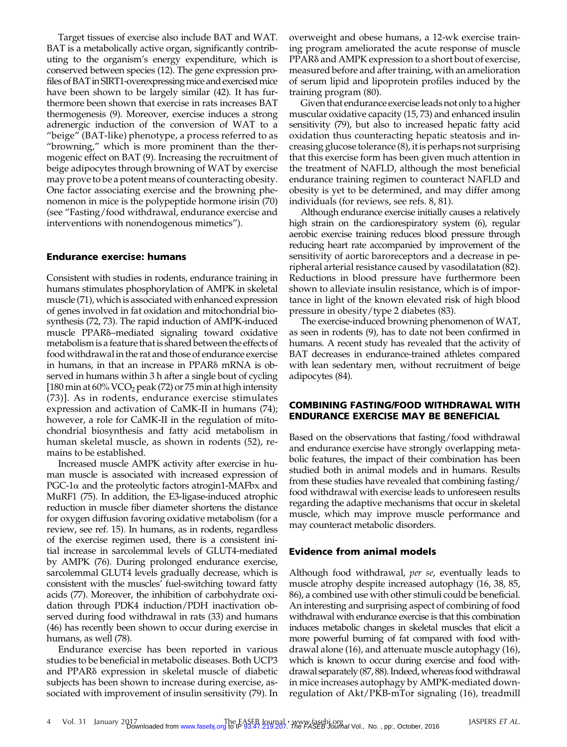Target tissues of exercise also include BAT and WAT. BAT is a metabolically active organ, significantly contributing to the organism's energy expenditure, which is conserved between species (12). The gene expression profiles of BAT in SIRT1-overexpressing mice and exercised mice have been shown to be largely similar (42). It has furthermore been shown that exercise in rats increases BAT thermogenesis (9). Moreover, exercise induces a strong adrenergic induction of the conversion of WAT to a "beige" (BAT-like) phenotype, a process referred to as "browning," which is more prominent than the thermogenic effect on BAT (9). Increasing the recruitment of beige adipocytes through browning of WAT by exercise may prove to be a potent means of counteracting obesity. One factor associating exercise and the browning phenomenon in mice is the polypeptide hormone irisin (70) (see "Fasting/food withdrawal, endurance exercise and interventions with nonendogenous mimetics").

#### Endurance exercise: humans

Consistent with studies in rodents, endurance training in humans stimulates phosphorylation of AMPK in skeletal muscle (71), which is associated with enhanced expression of genes involved in fat oxidation and mitochondrial biosynthesis (72, 73). The rapid induction of AMPK-induced muscle PPAR<sub>0</sub>-mediated signaling toward oxidative metabolism is a feature that is shared between the effects of food withdrawal in the rat and those of endurance exercise in humans, in that an increase in PPAR<sub>0</sub> mRNA is observed in humans within 3 h after a single bout of cycling [180 min at 60% VCO<sub>2</sub> peak (72) or 75 min at high intensity (73)]. As in rodents, endurance exercise stimulates expression and activation of CaMK-II in humans (74); however, a role for CaMK-II in the regulation of mitochondrial biosynthesis and fatty acid metabolism in human skeletal muscle, as shown in rodents (52), remains to be established.

Increased muscle AMPK activity after exercise in human muscle is associated with increased expression of  $PGC-1\alpha$  and the proteolytic factors atrogin1-MAFbx and MuRF1 (75). In addition, the E3-ligase-induced atrophic reduction in muscle fiber diameter shortens the distance for oxygen diffusion favoring oxidative metabolism (for a review, see ref. 15). In humans, as in rodents, regardless of the exercise regimen used, there is a consistent initial increase in sarcolemmal levels of GLUT4-mediated by AMPK (76). During prolonged endurance exercise, sarcolemmal GLUT4 levels gradually decrease, which is consistent with the muscles' fuel-switching toward fatty acids (77). Moreover, the inhibition of carbohydrate oxidation through PDK4 induction/PDH inactivation observed during food withdrawal in rats (33) and humans (46) has recently been shown to occur during exercise in humans, as well (78).

Endurance exercise has been reported in various studies to be beneficial in metabolic diseases. Both UCP3 and PPARd expression in skeletal muscle of diabetic subjects has been shown to increase during exercise, associated with improvement of insulin sensitivity (79). In

overweight and obese humans, a 12-wk exercise training program ameliorated the acute response of muscle PPARd and AMPK expression to a short bout of exercise, measured before and after training, with an amelioration of serum lipid and lipoprotein profiles induced by the training program (80).

Given that endurance exercise leads not only to a higher muscular oxidative capacity (15, 73) and enhanced insulin sensitivity (79), but also to increased hepatic fatty acid oxidation thus counteracting hepatic steatosis and increasing glucose tolerance (8), it is perhaps not surprising that this exercise form has been given much attention in the treatment of NAFLD, although the most beneficial endurance training regimen to counteract NAFLD and obesity is yet to be determined, and may differ among individuals (for reviews, see refs. 8, 81).

Although endurance exercise initially causes a relatively high strain on the cardiorespiratory system (6), regular aerobic exercise training reduces blood pressure through reducing heart rate accompanied by improvement of the sensitivity of aortic baroreceptors and a decrease in peripheral arterial resistance caused by vasodilatation (82). Reductions in blood pressure have furthermore been shown to alleviate insulin resistance, which is of importance in light of the known elevated risk of high blood pressure in obesity/type 2 diabetes (83).

The exercise-induced browning phenomenon of WAT, as seen in rodents (9), has to date not been confirmed in humans. A recent study has revealed that the activity of BAT decreases in endurance-trained athletes compared with lean sedentary men, without recruitment of beige adipocytes (84).

#### COMBINING FASTING/FOOD WITHDRAWAL WITH ENDURANCE EXERCISE MAY BE BENEFICIAL

Based on the observations that fasting/food withdrawal and endurance exercise have strongly overlapping metabolic features, the impact of their combination has been studied both in animal models and in humans. Results from these studies have revealed that combining fasting/ food withdrawal with exercise leads to unforeseen results regarding the adaptive mechanisms that occur in skeletal muscle, which may improve muscle performance and may counteract metabolic disorders.

#### Evidence from animal models

Although food withdrawal, per se, eventually leads to muscle atrophy despite increased autophagy (16, 38, 85, 86), a combined use with other stimuli could be beneficial. An interesting and surprising aspect of combining of food withdrawal with endurance exercise is that this combination induces metabolic changes in skeletal muscles that elicit a more powerful burning of fat compared with food withdrawal alone (16), and attenuate muscle autophagy (16), which is known to occur during exercise and food withdrawal separately (87, 88). Indeed, whereas food withdrawal in mice increases autophagy by AMPK-mediated downregulation of Akt/PKB-mTor signaling (16), treadmill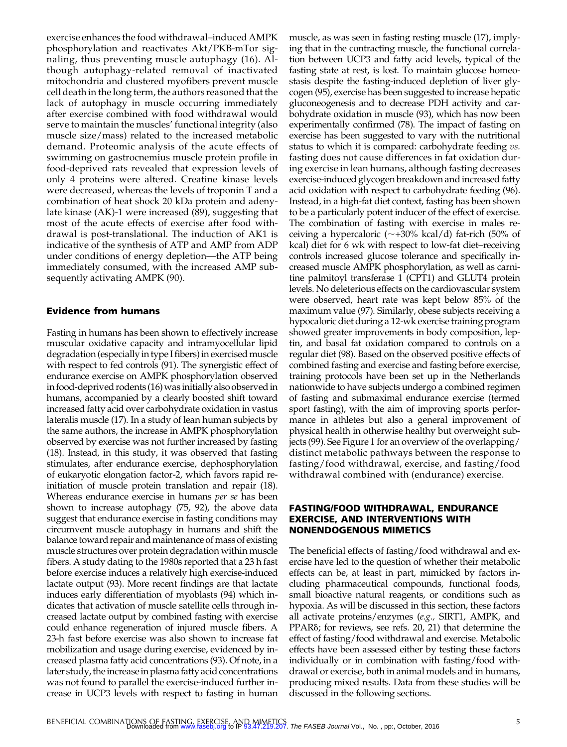exercise enhances the food withdrawal–induced AMPK phosphorylation and reactivates Akt/PKB-mTor signaling, thus preventing muscle autophagy (16). Although autophagy-related removal of inactivated mitochondria and clustered myofibers prevent muscle cell death in the long term, the authors reasoned that the lack of autophagy in muscle occurring immediately after exercise combined with food withdrawal would serve to maintain the muscles' functional integrity (also muscle size/mass) related to the increased metabolic demand. Proteomic analysis of the acute effects of swimming on gastrocnemius muscle protein profile in food-deprived rats revealed that expression levels of only 4 proteins were altered. Creatine kinase levels were decreased, whereas the levels of troponin T and a combination of heat shock 20 kDa protein and adenylate kinase (AK)-1 were increased (89), suggesting that most of the acute effects of exercise after food withdrawal is post-translational. The induction of AK1 is indicative of the synthesis of ATP and AMP from ADP under conditions of energy depletion—the ATP being immediately consumed, with the increased AMP subsequently activating AMPK (90).

#### Evidence from humans

Fasting in humans has been shown to effectively increase muscular oxidative capacity and intramyocellular lipid degradation (especially in type I fibers) in exercised muscle with respect to fed controls (91). The synergistic effect of endurance exercise on AMPK phosphorylation observed in food-deprived rodents (16) was initially also observedin humans, accompanied by a clearly boosted shift toward increased fatty acid over carbohydrate oxidation in vastus lateralis muscle (17). In a study of lean human subjects by the same authors, the increase in AMPK phosphorylation observed by exercise was not further increased by fasting (18). Instead, in this study, it was observed that fasting stimulates, after endurance exercise, dephosphorylation of eukaryotic elongation factor-2, which favors rapid reinitiation of muscle protein translation and repair (18). Whereas endurance exercise in humans *per se* has been shown to increase autophagy (75, 92), the above data suggest that endurance exercise in fasting conditions may circumvent muscle autophagy in humans and shift the balance toward repair and maintenance of mass of existing muscle structures over protein degradation within muscle fibers. A study dating to the 1980s reported that a 23 h fast before exercise induces a relatively high exercise-induced lactate output (93). More recent findings are that lactate induces early differentiation of myoblasts (94) which indicates that activation of muscle satellite cells through increased lactate output by combined fasting with exercise could enhance regeneration of injured muscle fibers. A 23-h fast before exercise was also shown to increase fat mobilization and usage during exercise, evidenced by increased plasma fatty acid concentrations (93). Of note, in a later study, the increase in plasma fatty acid concentrations was not found to parallel the exercise-induced further increase in UCP3 levels with respect to fasting in human

muscle, as was seen in fasting resting muscle (17), implying that in the contracting muscle, the functional correlation between UCP3 and fatty acid levels, typical of the fasting state at rest, is lost. To maintain glucose homeostasis despite the fasting-induced depletion of liver glycogen (95), exercise has been suggested to increase hepatic gluconeogenesis and to decrease PDH activity and carbohydrate oxidation in muscle (93), which has now been experimentally confirmed (78). The impact of fasting on exercise has been suggested to vary with the nutritional status to which it is compared: carbohydrate feeding vs. fasting does not cause differences in fat oxidation during exercise in lean humans, although fasting decreases exercise-induced glycogen breakdown and increased fatty acid oxidation with respect to carbohydrate feeding (96). Instead, in a high-fat diet context, fasting has been shown to be a particularly potent inducer of the effect of exercise. The combination of fasting with exercise in males receiving a hypercaloric ( $\sim$ +30% kcal/d) fat-rich (50% of kcal) diet for 6 wk with respect to low-fat diet–receiving controls increased glucose tolerance and specifically increased muscle AMPK phosphorylation, as well as carnitine palmitoyl transferase 1 (CPT1) and GLUT4 protein levels. No deleterious effects on the cardiovascular system were observed, heart rate was kept below 85% of the maximum value (97). Similarly, obese subjects receiving a hypocaloric diet during a 12-wk exercise training program showed greater improvements in body composition, leptin, and basal fat oxidation compared to controls on a regular diet (98). Based on the observed positive effects of combined fasting and exercise and fasting before exercise, training protocols have been set up in the Netherlands nationwide to have subjects undergo a combined regimen of fasting and submaximal endurance exercise (termed sport fasting), with the aim of improving sports performance in athletes but also a general improvement of physical health in otherwise healthy but overweight subjects (99). See Figure 1 for an overview of the overlapping/ distinct metabolic pathways between the response to fasting/food withdrawal, exercise, and fasting/food withdrawal combined with (endurance) exercise.

#### FASTING/FOOD WITHDRAWAL, ENDURANCE EXERCISE, AND INTERVENTIONS WITH NONENDOGENOUS MIMETICS

The beneficial effects of fasting/food withdrawal and exercise have led to the question of whether their metabolic effects can be, at least in part, mimicked by factors including pharmaceutical compounds, functional foods, small bioactive natural reagents, or conditions such as hypoxia. As will be discussed in this section, these factors all activate proteins/enzymes (e.g., SIRT1, AMPK, and PPAR $\delta$ ; for reviews, see refs. 20, 21) that determine the effect of fasting/food withdrawal and exercise. Metabolic effects have been assessed either by testing these factors individually or in combination with fasting/food withdrawal or exercise, both in animal models and in humans, producing mixed results. Data from these studies will be discussed in the following sections.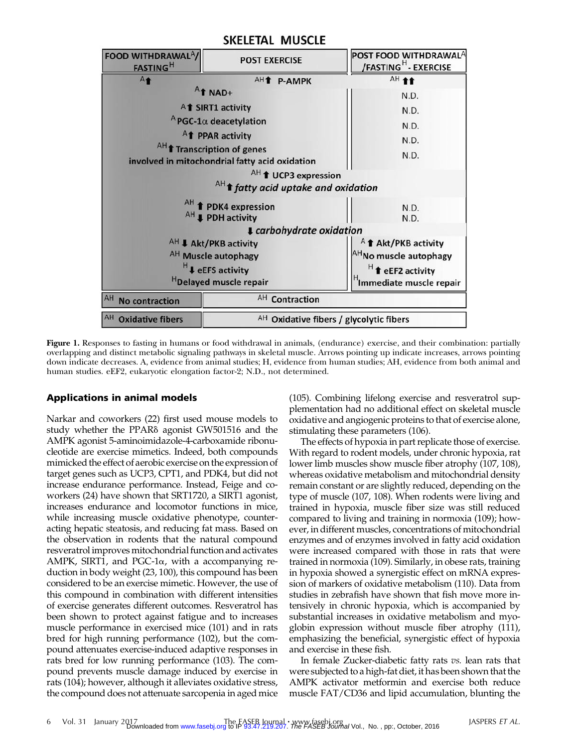

# **SKELETAL MUSCLE**

Figure 1. Responses to fasting in humans or food withdrawal in animals, (endurance) exercise, and their combination: partially overlapping and distinct metabolic signaling pathways in skeletal muscle. Arrows pointing up indicate increases, arrows pointing down indicate decreases. A, evidence from animal studies; H, evidence from human studies; AH, evidence from both animal and human studies. eEF2, eukaryotic elongation factor-2; N.D., not determined.

#### Applications in animal models

Narkar and coworkers (22) first used mouse models to study whether the PPAR<sub>0</sub> agonist GW501516 and the AMPK agonist 5-aminoimidazole-4-carboxamide ribonucleotide are exercise mimetics. Indeed, both compounds mimicked the effect of aerobic exercise on the expression of target genes such as UCP3, CPT1, and PDK4, but did not increase endurance performance. Instead, Feige and coworkers (24) have shown that SRT1720, a SIRT1 agonist, increases endurance and locomotor functions in mice, while increasing muscle oxidative phenotype, counteracting hepatic steatosis, and reducing fat mass. Based on the observation in rodents that the natural compound resveratrol improves mitochondrial function and activates AMPK, SIRT1, and PGC-1 $\alpha$ , with a accompanying reduction in body weight (23, 100), this compound has been considered to be an exercise mimetic. However, the use of this compound in combination with different intensities of exercise generates different outcomes. Resveratrol has been shown to protect against fatigue and to increases muscle performance in exercised mice (101) and in rats bred for high running performance (102), but the compound attenuates exercise-induced adaptive responses in rats bred for low running performance (103). The compound prevents muscle damage induced by exercise in rats (104); however, although it alleviates oxidative stress, the compound does not attenuate sarcopenia in aged mice

(105). Combining lifelong exercise and resveratrol supplementation had no additional effect on skeletal muscle oxidative and angiogenic proteins to that of exercise alone, stimulating these parameters (106).

The effects of hypoxia in part replicate those of exercise. With regard to rodent models, under chronic hypoxia, rat lower limb muscles show muscle fiber atrophy (107, 108), whereas oxidative metabolism and mitochondrial density remain constant or are slightly reduced, depending on the type of muscle (107, 108). When rodents were living and trained in hypoxia, muscle fiber size was still reduced compared to living and training in normoxia (109); however, in different muscles, concentrations of mitochondrial enzymes and of enzymes involved in fatty acid oxidation were increased compared with those in rats that were trained in normoxia (109). Similarly, in obese rats, training in hypoxia showed a synergistic effect on mRNA expression of markers of oxidative metabolism (110). Data from studies in zebrafish have shown that fish move more intensively in chronic hypoxia, which is accompanied by substantial increases in oxidative metabolism and myoglobin expression without muscle fiber atrophy (111), emphasizing the beneficial, synergistic effect of hypoxia and exercise in these fish.

In female Zucker-diabetic fatty rats vs. lean rats that were subjected to a high-fat diet, it has been shown that the AMPK activator metformin and exercise both reduce muscle FAT/CD36 and lipid accumulation, blunting the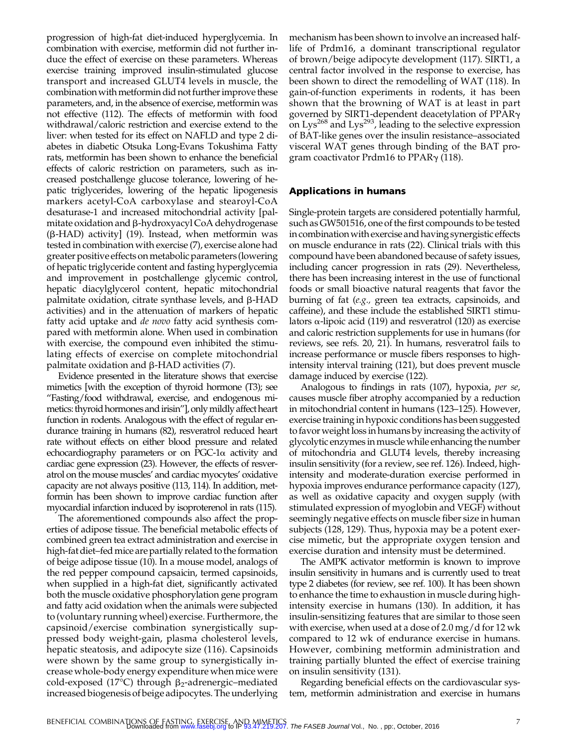progression of high-fat diet-induced hyperglycemia. In combination with exercise, metformin did not further induce the effect of exercise on these parameters. Whereas exercise training improved insulin-stimulated glucose transport and increased GLUT4 levels in muscle, the combination with metformin did not further improve these parameters, and, in the absence of exercise, metformin was not effective (112). The effects of metformin with food withdrawal/caloric restriction and exercise extend to the liver: when tested for its effect on NAFLD and type 2 diabetes in diabetic Otsuka Long-Evans Tokushima Fatty rats, metformin has been shown to enhance the beneficial effects of caloric restriction on parameters, such as increased postchallenge glucose tolerance, lowering of hepatic triglycerides, lowering of the hepatic lipogenesis markers acetyl-CoA carboxylase and stearoyl-CoA desaturase-1 and increased mitochondrial activity [palmitate oxidation and β-hydroxyacyl CoA dehydrogenase  $(\beta$ -HAD) activity] (19). Instead, when metformin was tested in combination with exercise (7), exercise alone had greater positive effects onmetabolic parameters (lowering of hepatic triglyceride content and fasting hyperglycemia and improvement in postchallenge glycemic control, hepatic diacylglycerol content, hepatic mitochondrial palmitate oxidation, citrate synthase levels, and  $\beta$ -HAD activities) and in the attenuation of markers of hepatic fatty acid uptake and de novo fatty acid synthesis compared with metformin alone. When used in combination with exercise, the compound even inhibited the stimulating effects of exercise on complete mitochondrial palmitate oxidation and  $\beta$ -HAD activities (7).

Evidence presented in the literature shows that exercise mimetics [with the exception of thyroid hormone (T3); see "Fasting/food withdrawal, exercise, and endogenous mimetics: thyroid hormones and irisin"], only mildly affect heart function in rodents. Analogous with the effect of regular endurance training in humans (82), resveratrol reduced heart rate without effects on either blood pressure and related echocardiography parameters or on  $PGC-1\alpha$  activity and cardiac gene expression (23). However, the effects of resveratrol on the mouse muscles' and cardiac myocytes' oxidative capacity are not always positive (113, 114). In addition, metformin has been shown to improve cardiac function after myocardial infarction induced by isoproterenol in rats (115).

The aforementioned compounds also affect the properties of adipose tissue. The beneficial metabolic effects of combined green tea extract administration and exercise in high-fat diet–fed mice are partially related to the formation of beige adipose tissue (10). In a mouse model, analogs of the red pepper compound capsaicin, termed capsinoids, when supplied in a high-fat diet, significantly activated both the muscle oxidative phosphorylation gene program and fatty acid oxidation when the animals were subjected to (voluntary running wheel) exercise. Furthermore, the capsinoid/exercise combination synergistically suppressed body weight-gain, plasma cholesterol levels, hepatic steatosis, and adipocyte size (116). Capsinoids were shown by the same group to synergistically increase whole-body energy expenditure when mice were cold-exposed (17 $^{\circ}$ C) through  $\beta$ <sub>2</sub>-adrenergic–mediated increased biogenesis of beige adipocytes. The underlying

mechanism has been shown to involve an increased halflife of Prdm16, a dominant transcriptional regulator of brown/beige adipocyte development (117). SIRT1, a central factor involved in the response to exercise, has been shown to direct the remodelling of WAT (118). In gain-of-function experiments in rodents, it has been shown that the browning of WAT is at least in part governed by SIRT1-dependent deacetylation of PPARg on Lys<sup>268</sup> and Lys<sup>293</sup>, leading to the selective expression of BAT-like genes over the insulin resistance–associated visceral WAT genes through binding of the BAT program coactivator Prdm16 to  $PPAR<sub>\gamma</sub>$  (118).

#### Applications in humans

Single-protein targets are considered potentially harmful, such as GW501516, one of the first compounds to be tested in combination with exercise and having synergistic effects on muscle endurance in rats (22). Clinical trials with this compound have been abandoned because of safety issues, including cancer progression in rats (29). Nevertheless, there has been increasing interest in the use of functional foods or small bioactive natural reagents that favor the burning of fat (e.g., green tea extracts, capsinoids, and caffeine), and these include the established SIRT1 stimulators  $\alpha$ -lipoic acid (119) and resveratrol (120) as exercise and caloric restriction supplements for use in humans (for reviews, see refs. 20, 21). In humans, resveratrol fails to increase performance or muscle fibers responses to highintensity interval training (121), but does prevent muscle damage induced by exercise (122).

Analogous to findings in rats (107), hypoxia, per se, causes muscle fiber atrophy accompanied by a reduction in mitochondrial content in humans (123–125). However, exercise training in hypoxic conditions has been suggested to favor weight loss in humans by increasing the activity of glycolytic enzymes in muscle while enhancing the number of mitochondria and GLUT4 levels, thereby increasing insulin sensitivity (for a review, see ref. 126). Indeed, highintensity and moderate-duration exercise performed in hypoxia improves endurance performance capacity (127), as well as oxidative capacity and oxygen supply (with stimulated expression of myoglobin and VEGF) without seemingly negative effects on muscle fiber size in human subjects (128, 129). Thus, hypoxia may be a potent exercise mimetic, but the appropriate oxygen tension and exercise duration and intensity must be determined.

The AMPK activator metformin is known to improve insulin sensitivity in humans and is currently used to treat type 2 diabetes (for review, see ref. 100). It has been shown to enhance the time to exhaustion in muscle during highintensity exercise in humans (130). In addition, it has insulin-sensitizing features that are similar to those seen with exercise, when used at a dose of 2.0 mg/d for 12 wk compared to 12 wk of endurance exercise in humans. However, combining metformin administration and training partially blunted the effect of exercise training on insulin sensitivity (131).

Regarding beneficial effects on the cardiovascular system, metformin administration and exercise in humans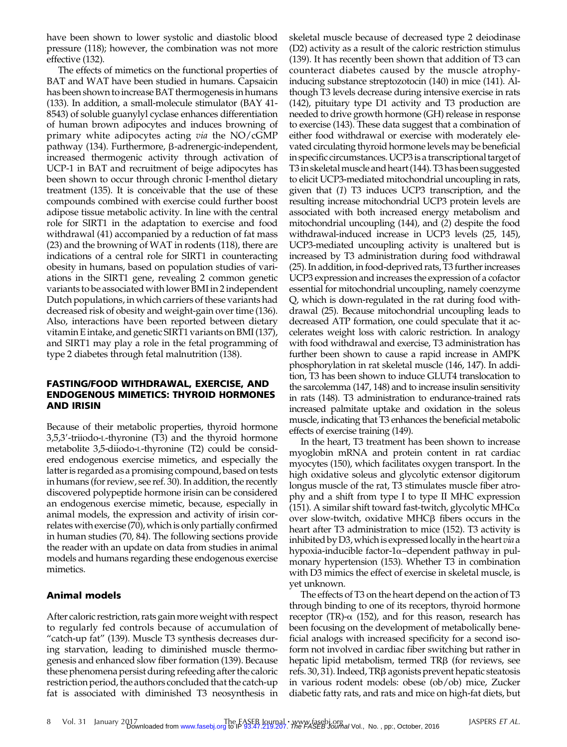have been shown to lower systolic and diastolic blood pressure (118); however, the combination was not more effective (132).

The effects of mimetics on the functional properties of BAT and WAT have been studied in humans. Capsaicin has been shown to increase BAT thermogenesis in humans (133). In addition, a small-molecule stimulator (BAY 41- 8543) of soluble guanylyl cyclase enhances differentiation of human brown adipocytes and induces browning of primary white adipocytes acting via the NO/cGMP pathway  $(134)$ . Furthermore,  $\beta$ -adrenergic-independent, increased thermogenic activity through activation of UCP-1 in BAT and recruitment of beige adipocytes has been shown to occur through chronic I-menthol dietary treatment (135). It is conceivable that the use of these compounds combined with exercise could further boost adipose tissue metabolic activity. In line with the central role for SIRT1 in the adaptation to exercise and food withdrawal (41) accompanied by a reduction of fat mass (23) and the browning of WAT in rodents (118), there are indications of a central role for SIRT1 in counteracting obesity in humans, based on population studies of variations in the SIRT1 gene, revealing 2 common genetic variants to be associated with lower BMI in 2 independent Dutch populations, in which carriers of these variants had decreased risk of obesity and weight-gain over time (136). Also, interactions have been reported between dietary vitamin E intake, and genetic SIRT1 variants on BMI (137), and SIRT1 may play a role in the fetal programming of type 2 diabetes through fetal malnutrition (138).

#### FASTING/FOOD WITHDRAWAL, EXERCISE, AND ENDOGENOUS MIMETICS: THYROID HORMONES AND IRISIN

Because of their metabolic properties, thyroid hormone  $3,5,3'$ -triiodo-L-thyronine (T3) and the thyroid hormone metabolite 3,5-diiodo-L-thyronine (T2) could be considered endogenous exercise mimetics, and especially the latter is regarded as a promising compound, based on tests in humans (for review, see ref. 30). In addition, the recently discovered polypeptide hormone irisin can be considered an endogenous exercise mimetic, because, especially in animal models, the expression and activity of irisin correlates with exercise (70), which is only partially confirmed in human studies (70, 84). The following sections provide the reader with an update on data from studies in animal models and humans regarding these endogenous exercise mimetics.

# Animal models

After caloric restriction, rats gain more weight with respect to regularly fed controls because of accumulation of "catch-up fat" (139). Muscle T3 synthesis decreases during starvation, leading to diminished muscle thermogenesis and enhanced slow fiber formation (139). Because these phenomena persist during refeeding after the caloric restriction period, the authors concluded that the catch-up fat is associated with diminished T3 neosynthesis in

skeletal muscle because of decreased type 2 deiodinase (D2) activity as a result of the caloric restriction stimulus (139). It has recently been shown that addition of T3 can counteract diabetes caused by the muscle atrophyinducing substance streptozotocin (140) in mice (141). Although T3 levels decrease during intensive exercise in rats (142), pituitary type D1 activity and T3 production are needed to drive growth hormone (GH) release in response to exercise (143). These data suggest that a combination of either food withdrawal or exercise with moderately elevated circulating thyroid hormone levels may be beneficial in specific circumstances. UCP3 is a transcriptional target of T3in skeletalmuscle and heart (144). T3 has been suggested to elicit UCP3-mediated mitochondrial uncoupling in rats, given that (1) T3 induces UCP3 transcription, and the resulting increase mitochondrial UCP3 protein levels are associated with both increased energy metabolism and mitochondrial uncoupling (144), and (2) despite the food withdrawal-induced increase in UCP3 levels (25, 145), UCP3-mediated uncoupling activity is unaltered but is increased by T3 administration during food withdrawal (25). In addition, in food-deprived rats, T3 further increases UCP3 expression and increases the expression of a cofactor essential for mitochondrial uncoupling, namely coenzyme Q, which is down-regulated in the rat during food withdrawal (25). Because mitochondrial uncoupling leads to decreased ATP formation, one could speculate that it accelerates weight loss with caloric restriction. In analogy with food withdrawal and exercise, T3 administration has further been shown to cause a rapid increase in AMPK phosphorylation in rat skeletal muscle (146, 147). In addition, T3 has been shown to induce GLUT4 translocation to the sarcolemma (147, 148) and to increase insulin sensitivity in rats (148). T3 administration to endurance-trained rats increased palmitate uptake and oxidation in the soleus muscle, indicating that T3 enhances the beneficial metabolic effects of exercise training (149).

In the heart, T3 treatment has been shown to increase myoglobin mRNA and protein content in rat cardiac myocytes (150), which facilitates oxygen transport. In the high oxidative soleus and glycolytic extensor digitorum longus muscle of the rat, T3 stimulates muscle fiber atrophy and a shift from type I to type II MHC expression (151). A similar shift toward fast-twitch, glycolytic MHC $\alpha$ over slow-twitch, oxidative MHC $\beta$  fibers occurs in the heart after T3 administration to mice (152). T3 activity is inhibited by D3, which is expressed locally in the heart via a hypoxia-inducible factor-1a–dependent pathway in pulmonary hypertension (153). Whether T3 in combination with D3 mimics the effect of exercise in skeletal muscle, is yet unknown.

The effects of T3 on the heart depend on the action of T3 through binding to one of its receptors, thyroid hormone receptor (TR)- $\alpha$  (152), and for this reason, research has been focusing on the development of metabolically beneficial analogs with increased specificity for a second isoform not involved in cardiac fiber switching but rather in hepatic lipid metabolism, termed TRB (for reviews, see refs. 30, 31). Indeed,  $TR\beta$  agonists prevent hepatic steatosis in various rodent models: obese (ob/ob) mice, Zucker diabetic fatty rats, and rats and mice on high-fat diets, but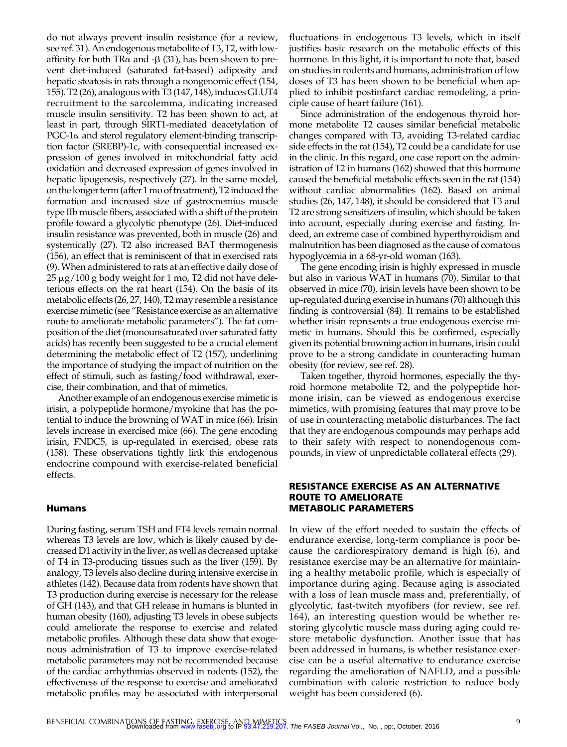do not always prevent insulin resistance (for a review, see ref. 31). An endogenous metabolite of T3, T2, with lowaffinity for both TR $\alpha$  and - $\beta$  (31), has been shown to prevent diet-induced (saturated fat-based) adiposity and hepatic steatosis in rats through a nongenomic effect (154, 155). T2 (26), analogous with T3 (147, 148), induces GLUT4 recruitment to the sarcolemma, indicating increased muscle insulin sensitivity. T2 has been shown to act, at least in part, through SIRT1-mediated deacetylation of  $PGC-1\alpha$  and sterol regulatory element-binding transcription factor (SREBP)-1c, with consequential increased expression of genes involved in mitochondrial fatty acid oxidation and decreased expression of genes involved in hepatic lipogenesis, respectively (27). In the same model, on the longer term (after 1mo of treatment), T2 induced the formation and increased size of gastrocnemius muscle type IIb muscle fibers, associated with a shift of the protein profile toward a glycolytic phenotype (26). Diet-induced insulin resistance was prevented, both in muscle (26) and systemically (27). T2 also increased BAT thermogenesis (156), an effect that is reminiscent of that in exercised rats (9). When administered to rats at an effective daily dose of  $25 \mu g/100$  g body weight for 1 mo, T2 did not have deleterious effects on the rat heart (154). On the basis of its metabolic effects (26, 27, 140), T2may resemble a resistance exercise mimetic (see "Resistance exercise as an alternative route to ameliorate metabolic parameters"). The fat composition of the diet (monounsaturated over saturated fatty acids) has recently been suggested to be a crucial element determining the metabolic effect of T2 (157), underlining the importance of studying the impact of nutrition on the effect of stimuli, such as fasting/food withdrawal, exercise, their combination, and that of mimetics.

Another example of an endogenous exercise mimetic is irisin, a polypeptide hormone/myokine that has the potential to induce the browning of WAT in mice (66). Irisin levels increase in exercised mice (66). The gene encoding irisin, FNDC5, is up-regulated in exercised, obese rats (158). These observations tightly link this endogenous endocrine compound with exercise-related beneficial effects.

#### Humans

During fasting, serum TSH and FT4 levels remain normal whereas T3 levels are low, which is likely caused by decreased D1 activity in the liver, as well as decreased uptake of T4 in T3-producing tissues such as the liver (159). By analogy, T3 levels also decline during intensive exercise in athletes (142). Because data from rodents have shown that T3 production during exercise is necessary for the release of GH (143), and that GH release in humans is blunted in human obesity (160), adjusting T3 levels in obese subjects could ameliorate the response to exercise and related metabolic profiles. Although these data show that exogenous administration of T3 to improve exercise-related metabolic parameters may not be recommended because of the cardiac arrhythmias observed in rodents (152), the effectiveness of the response to exercise and ameliorated metabolic profiles may be associated with interpersonal

fluctuations in endogenous T3 levels, which in itself justifies basic research on the metabolic effects of this hormone. In this light, it is important to note that, based on studies in rodents and humans, administration of low doses of T3 has been shown to be beneficial when applied to inhibit postinfarct cardiac remodeling, a principle cause of heart failure (161).

Since administration of the endogenous thyroid hormone metabolite T2 causes similar beneficial metabolic changes compared with T3, avoiding T3-related cardiac side effects in the rat (154), T2 could be a candidate for use in the clinic. In this regard, one case report on the administration of T2 in humans (162) showed that this hormone caused the beneficial metabolic effects seen in the rat (154) without cardiac abnormalities (162). Based on animal studies (26, 147, 148), it should be considered that T3 and T2 are strong sensitizers of insulin, which should be taken into account, especially during exercise and fasting. Indeed, an extreme case of combined hyperthyroidism and malnutrition has been diagnosed as the cause of comatous hypoglycemia in a 68-yr-old woman (163).

The gene encoding irisin is highly expressed in muscle but also in various WAT in humans (70). Similar to that observed in mice (70), irisin levels have been shown to be up-regulated during exercise in humans (70) although this finding is controversial (84). It remains to be established whether irisin represents a true endogenous exercise mimetic in humans. Should this be confirmed, especially given its potential browning action in humans, irisin could prove to be a strong candidate in counteracting human obesity (for review, see ref. 28).

Taken together, thyroid hormones, especially the thyroid hormone metabolite T2, and the polypeptide hormone irisin, can be viewed as endogenous exercise mimetics, with promising features that may prove to be of use in counteracting metabolic disturbances. The fact that they are endogenous compounds may perhaps add to their safety with respect to nonendogenous compounds, in view of unpredictable collateral effects (29).

#### RESISTANCE EXERCISE AS AN ALTERNATIVE ROUTE TO AMELIORATE METABOLIC PARAMETERS

In view of the effort needed to sustain the effects of endurance exercise, long-term compliance is poor because the cardiorespiratory demand is high (6), and resistance exercise may be an alternative for maintaining a healthy metabolic profile, which is especially of importance during aging. Because aging is associated with a loss of lean muscle mass and, preferentially, of glycolytic, fast-twitch myofibers (for review, see ref. 164), an interesting question would be whether restoring glycolytic muscle mass during aging could restore metabolic dysfunction. Another issue that has been addressed in humans, is whether resistance exercise can be a useful alternative to endurance exercise regarding the amelioration of NAFLD, and a possible combination with caloric restriction to reduce body weight has been considered (6).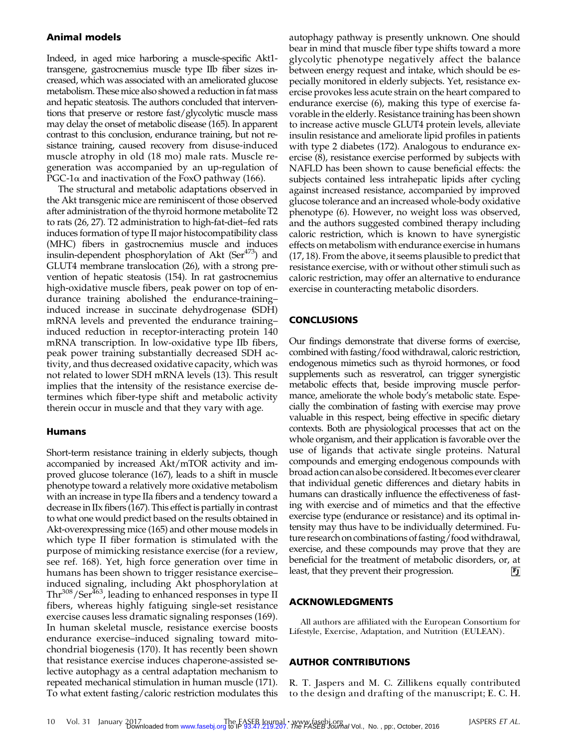#### Animal models

Indeed, in aged mice harboring a muscle-specific Akt1 transgene, gastrocnemius muscle type IIb fiber sizes increased, which was associated with an ameliorated glucose metabolism. These mice also showed a reduction in fat mass and hepatic steatosis. The authors concluded that interventions that preserve or restore fast/glycolytic muscle mass may delay the onset of metabolic disease (165). In apparent contrast to this conclusion, endurance training, but not resistance training, caused recovery from disuse-induced muscle atrophy in old (18 mo) male rats. Muscle regeneration was accompanied by an up-regulation of PGC-1 $\alpha$  and inactivation of the FoxO pathway (166).

The structural and metabolic adaptations observed in the Akt transgenic mice are reminiscent of those observed after administration of the thyroid hormone metabolite T2 to rats (26, 27). T2 administration to high-fat-diet–fed rats induces formation of type II major histocompatibility class (MHC) fibers in gastrocnemius muscle and induces insulin-dependent phosphorylation of Akt  $(Ser<sup>473</sup>)$  and GLUT4 membrane translocation (26), with a strong prevention of hepatic steatosis (154). In rat gastrocnemius high-oxidative muscle fibers, peak power on top of endurance training abolished the endurance-training– induced increase in succinate dehydrogenase (SDH) mRNA levels and prevented the endurance training– induced reduction in receptor-interacting protein 140 mRNA transcription. In low-oxidative type IIb fibers, peak power training substantially decreased SDH activity, and thus decreased oxidative capacity, which was not related to lower SDH mRNA levels (13). This result implies that the intensity of the resistance exercise determines which fiber-type shift and metabolic activity therein occur in muscle and that they vary with age.

#### Humans

Short-term resistance training in elderly subjects, though accompanied by increased Akt/mTOR activity and improved glucose tolerance (167), leads to a shift in muscle phenotype toward a relatively more oxidative metabolism with an increase in type IIa fibers and a tendency toward a decrease in IIx fibers (167). This effect is partially in contrast to what one would predict based on the results obtained in Akt-overexpressing mice (165) and other mouse models in which type II fiber formation is stimulated with the purpose of mimicking resistance exercise (for a review, see ref. 168). Yet, high force generation over time in humans has been shown to trigger resistance exercise– induced signaling, including Akt phosphorylation at Thr<sup>308</sup>/Ser<sup>463</sup>, leading to enhanced responses in type II fibers, whereas highly fatiguing single-set resistance exercise causes less dramatic signaling responses (169). In human skeletal muscle, resistance exercise boosts endurance exercise–induced signaling toward mitochondrial biogenesis (170). It has recently been shown that resistance exercise induces chaperone-assisted selective autophagy as a central adaptation mechanism to repeated mechanical stimulation in human muscle (171). To what extent fasting/caloric restriction modulates this

autophagy pathway is presently unknown. One should bear in mind that muscle fiber type shifts toward a more glycolytic phenotype negatively affect the balance between energy request and intake, which should be especially monitored in elderly subjects. Yet, resistance exercise provokes less acute strain on the heart compared to endurance exercise (6), making this type of exercise favorable in the elderly. Resistance training has been shown to increase active muscle GLUT4 protein levels, alleviate insulin resistance and ameliorate lipid profiles in patients with type 2 diabetes (172). Analogous to endurance exercise (8), resistance exercise performed by subjects with NAFLD has been shown to cause beneficial effects: the subjects contained less intrahepatic lipids after cycling against increased resistance, accompanied by improved glucose tolerance and an increased whole-body oxidative phenotype (6). However, no weight loss was observed, and the authors suggested combined therapy including caloric restriction, which is known to have synergistic effects on metabolism with endurance exercise in humans (17, 18). From the above, it seems plausible to predict that resistance exercise, with or without other stimuli such as caloric restriction, may offer an alternative to endurance exercise in counteracting metabolic disorders.

# **CONCLUSIONS**

Our findings demonstrate that diverse forms of exercise, combined with fasting/food withdrawal, caloric restriction, endogenous mimetics such as thyroid hormones, or food supplements such as resveratrol, can trigger synergistic metabolic effects that, beside improving muscle performance, ameliorate the whole body's metabolic state. Especially the combination of fasting with exercise may prove valuable in this respect, being effective in specific dietary contexts. Both are physiological processes that act on the whole organism, and their application is favorable over the use of ligands that activate single proteins. Natural compounds and emerging endogenous compounds with broad action can also be considered. It becomes ever clearer that individual genetic differences and dietary habits in humans can drastically influence the effectiveness of fasting with exercise and of mimetics and that the effective exercise type (endurance or resistance) and its optimal intensity may thus have to be individually determined. Future research on combinations of fasting/food withdrawal, exercise, and these compounds may prove that they are beneficial for the treatment of metabolic disorders, or, at least, that they prevent their progression.  $|\mathbf{F} \mathbf{J}|$ 

# ACKNOWLEDGMENTS

All authors are affiliated with the European Consortium for Lifestyle, Exercise, Adaptation, and Nutrition (EULEAN).

# AUTHOR CONTRIBUTIONS

R. T. Jaspers and M. C. Zillikens equally contributed to the design and drafting of the manuscript; E. C. H.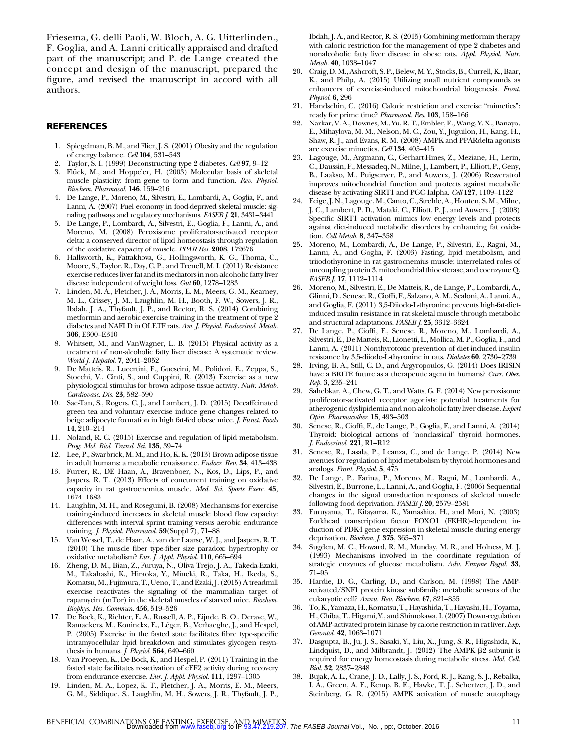Friesema, G. delli Paoli, W. Bloch, A. G. Uitterlinden., F. Goglia, and A. Lanni critically appraised and drafted part of the manuscript; and P. de Lange created the concept and design of the manuscript, prepared the figure, and revised the manuscript in accord with all authors.

#### **REFERENCES**

- 1. Spiegelman, B. M., and Flier, J. S. (2001) Obesity and the regulation of energy balance. Cell 104, 531–<sup>543</sup>
- 2. Taylor, S. I. (1999) Deconstructing type 2 diabetes. Cell 97, 9–<sup>12</sup>
- 3. Flück, M., and Hoppeler, H. (2003) Molecular basis of skeletal muscle plasticity: from gene to form and function. Rev. Physiol. Biochem. Pharmacol. 146, 159–<sup>216</sup>
- 4. De Lange, P., Moreno, M., Silvestri, E., Lombardi, A., Goglia, F., and Lanni, A. (2007) Fuel economy in food-deprived skeletal muscle: signaling pathways and regulatory mechanisms. FASEB J. 21, 3431–<sup>3441</sup>
- 5. De Lange, P., Lombardi, A., Silvestri, E., Goglia, F., Lanni, A., and Moreno, M. (2008) Peroxisome proliferator-activated receptor delta: a conserved director of lipid homeostasis through regulation of the oxidative capacity of muscle. PPAR Res. 2008, 172676
- 6. Hallsworth, K., Fattakhova, G., Hollingsworth, K. G., Thoma, C., Moore, S., Taylor, R., Day, C. P., and Trenell, M. I. (2011) Resistance exercise reduces liver fat and its mediators in non-alcoholic fatty liver<br>disease independent of weight loss.  $Gut 60$ , 1278–1283
- disease independent of weight loss. *Gut* **60**, 1278–1283<br>7. Linden, M. A., Fletcher, J. A., Morris, E. M., Meers, G. M., Kearney, M. L., Crissey, J. M., Laughlin, M. H., Booth, F. W., Sowers, J. R., Ibdah, J. A., Thyfault, J. P., and Rector, R. S. (2014) Combining metformin and aerobic exercise training in the treatment of type 2 diabetes and NAFLD in OLETF rats. Am. J. Physiol. Endocrinol. Metab. 306, E300–E310
- 8. Whitsett, M., and VanWagner, L. B. (2015) Physical activity as a treatment of non-alcoholic fatty liver disease: A systematic review. World J. Hepatol. 7, 2041–<sup>2052</sup>
- 9. De Matteis, R., Lucertini, F., Guescini, M., Polidori, E., Zeppa, S., Stocchi, V., Cinti, S., and Cuppini, R. (2013) Exercise as a new physiological stimulus for brown adipose tissue activity. Nutr. Metab. Cardiovasc. Dis. 23, 582–<sup>590</sup>
- 10. Sae-Tan, S., Rogers, C. J., and Lambert, J. D. (2015) Decaffeinated green tea and voluntary exercise induce gene changes related to beige adipocyte formation in high fat-fed obese mice. J. Funct. Foods 14, 210–<sup>214</sup>
- 11. Noland, R. C. (2015) Exercise and regulation of lipid metabolism. Prog. Mol. Biol. Transl. Sci. 135, 39–<sup>74</sup>
- 12. Lee, P., Swarbrick, M. M., and Ho, K. K. (2013) Brown adipose tissue in adult humans: a metabolic renaissance. Endocr. Rev. 34, 413–<sup>438</sup>
- 13. Furrer, R., DE Haan, A., Bravenboer, N., Kos, D., Lips, P., and Jaspers, R. T. (2013) Effects of concurrent training on oxidative capacity in rat gastrocnemius muscle. Med. Sci. Sports Exerc. 45, 1674–1683
- 14. Laughlin, M. H., and Roseguini, B. (2008) Mechanisms for exercise training-induced increases in skeletal muscle blood flow capacity: differences with interval sprint training versus aerobic endurance training. J. Physiol. Pharmacol. <sup>59</sup>(Suppl 7), 71–<sup>88</sup>
- 15. Van Wessel, T., de Haan, A., van der Laarse, W. J., and Jaspers, R. T. (2010) The muscle fiber type-fiber size paradox: hypertrophy or oxidative metabolism? Eur. J. Appl. Physiol. 110, 665–<sup>694</sup>
- 16. Zheng, D. M., Bian, Z., Furuya, N., Oliva Trejo, J. A., Takeda-Ezaki, M., Takahashi, K., Hiraoka, Y., Mineki, R., Taka, H., Ikeda, S., Komatsu, M., Fujimura, T., Ueno, T., and Ezaki, J. (2015) A treadmill exercise reactivates the signaling of the mammalian target of rapamycin (mTor) in the skeletal muscles of starved mice. Biochem. Biophys. Res. Commun. 456, 519–<sup>526</sup>
- 17. De Bock, K., Richter, E. A., Russell, A. P., Eijnde, B. O., Derave, W., Ramaekers, M., Koninckx, E., Leger, B., Verhaeghe, J., and Hespel, ´ P. (2005) Exercise in the fasted state facilitates fibre type-specific intramyocellular lipid breakdown and stimulates glycogen resyn-
- thesis in humans. *J. Physiol*. **564**, 649–660<br>18. Van Proeyen, K., De Bock, K., and Hespel, P. (2011) Training in the fasted state facilitates re-activation of eEF2 activity during recovery from endurance exercise. Eur. J. Appl. Physiol. 111, 1297-1305
- 19. Linden, M. A., Lopez, K. T., Fletcher, J. A., Morris, E. M., Meers, G. M., Siddique, S., Laughlin, M. H., Sowers, J. R., Thyfault, J. P.,

Ibdah, J. A., and Rector, R. S. (2015) Combining metformin therapy with caloric restriction for the management of type 2 diabetes and nonalcoholic fatty liver disease in obese rats. Appl. Physiol. Nutr. Metab. 40, 1038–<sup>1047</sup>

- 20. Craig, D. M., Ashcroft, S. P., Belew, M. Y., Stocks, B., Currell, K., Baar, K., and Philp, A. (2015) Utilizing small nutrient compounds as enhancers of exercise-induced mitochondrial biogenesis. Front. Physiol. 6, 296
- 21. Handschin, C. (2016) Caloric restriction and exercise "mimetics": ready for prime time? Pharmacol. Res. 103, 158–<sup>166</sup>
- 22. Narkar, V. A., Downes, M., Yu, R. T., Embler, E., Wang, Y. X., Banayo, E., Mihaylova, M. M., Nelson, M. C., Zou, Y., Juguilon, H., Kang, H., Shaw, R. J., and Evans, R. M. (2008) AMPK and PPARdelta agonists are exercise mimetics. Cell 134, 405–<sup>415</sup>
- 23. Lagouge, M., Argmann, C., Gerhart-Hines, Z., Meziane, H., Lerin, C., Daussin, F., Messadeq, N., Milne, J., Lambert, P., Elliott, P., Geny, B., Laakso, M., Puigserver, P., and Auwerx, J. (2006) Resveratrol improves mitochondrial function and protects against metabolic disease by activating SIRT1 and PGC-1alpha. Cell 127, 1109-1122
- 24. Feige, J. N., Lagouge, M., Canto, C., Strehle, A., Houten, S.M.,Milne, J. C., Lambert, P. D., Mataki, C., Elliott, P. J., and Auwerx, J. (2008) Specific SIRT1 activation mimics low energy levels and protects against diet-induced metabolic disorders by enhancing fat oxida-
- tion. Cell Metab. 8, 347-358<br>25. Moreno, M., Lombardi, A., De Lange, P., Silvestri, E., Ragni, M., Lanni, A., and Goglia, F. (2003) Fasting, lipid metabolism, and triiodothyronine in rat gastrocnemius muscle: interrelated roles of uncoupling protein 3, mitochondrial thioesterase, and coenzyme Q. FASEB J. 17, 1112–<sup>1114</sup>
- 26. Moreno, M., Silvestri, E., De Matteis, R., de Lange, P., Lombardi, A., Glinni, D., Senese, R., Cioffi, F., Salzano, A. M., Scaloni, A., Lanni, A., and Goglia, F. (2011) 3,5-Diiodo-L-thyronine prevents high-fat-dietinduced insulin resistance in rat skeletal muscle through metabolic and structural adaptations. FASEB J. 25, 3312–<sup>3324</sup>
- 27. De Lange, P., Cioffi, F., Senese, R., Moreno, M., Lombardi, A., Silvestri, E., De Matteis, R., Lionetti, L., Mollica, M. P., Goglia, F., and Lanni, A. (2011) Nonthyrotoxic prevention of diet-induced insulin resistance by 3,5-diiodo-L-thyronine in rats. Diabetes 60, 2730–<sup>2739</sup>
- 28. Irving, B. A., Still, C. D., and Argyropoulos, G. (2014) Does IRISIN have a BRITE future as a therapeutic agent in humans? Curr. Obes. Rep. 3, 235–<sup>241</sup>
- 29. Sahebkar, A., Chew, G. T., and Watts, G. F. (2014) New peroxisome proliferator-activated receptor agonists: potential treatments for atherogenic dyslipidemia and non-alcoholic fatty liver disease. Expert Opin. Pharmacother. 15, 493–<sup>503</sup>
- 30. Senese, R., Cioffi, F., de Lange, P., Goglia, F., and Lanni, A. (2014) Thyroid: biological actions of 'nonclassical' thyroid hormones. J. Endocrinol. 221, R1–R12
- 31. Senese, R., Lasala, P., Leanza, C., and de Lange, P. (2014) New avenues for regulation of lipid metabolism by thyroid hormones and analogs. Front. Physiol. 5, 475
- 32. De Lange, P., Farina, P., Moreno, M., Ragni, M., Lombardi, A., Silvestri, E., Burrone, L., Lanni, A., and Goglia, F. (2006) Sequential changes in the signal transduction responses of skeletal muscle following food deprivation. FASEB J. 20, 2579-2581
- 33. Furuyama, T., Kitayama, K., Yamashita, H., and Mori, N. (2003) Forkhead transcription factor FOXO1 (FKHR)-dependent induction of PDK4 gene expression in skeletal muscle during energy deprivation. Biochem. J. 375, 365–<sup>371</sup>
- Sugden, M. C., Howard, R. M., Munday, M. R., and Holness, M. J. (1993) Mechanisms involved in the coordinate regulation of strategic enzymes of glucose metabolism. Adv. Enzyme Regul. 33, 71–95
- 35. Hardie, D. G., Carling, D., and Carlson, M. (1998) The AMPactivated/SNF1 protein kinase subfamily: metabolic sensors of the eukaryotic cell? Annu. Rev. Biochem. <sup>67</sup>, 821–<sup>855</sup>
- 36. To, K., Yamaza, H., Komatsu,T., Hayashida, T., Hayashi, H., Toyama, H., Chiba, T.,Higami, Y., and Shimokawa, I. (2007) Down-regulation of AMP-activated protein kinase by calorie restriction in rat liver. Exp. Gerontol. 42, 1063–<sup>1071</sup>
- 37. Dasgupta, B., Ju, J. S., Sasaki, Y., Liu, X., Jung, S. R., Higashida, K., Lindquist, D., and Milbrandt, J. (2012) The AMPK  $\beta$ 2 subunit is required for energy homeostasis during metabolic stress. Mol. Cell. Biol. 32, 2837–<sup>2848</sup>
- 38. Bujak, A. L., Crane, J. D., Lally, J. S., Ford, R. J., Kang, S. J., Rebalka, I. A., Green, A. E., Kemp, B. E., Hawke, T. J., Schertzer, J. D., and Steinberg, G. R. (2015) AMPK activation of muscle autophagy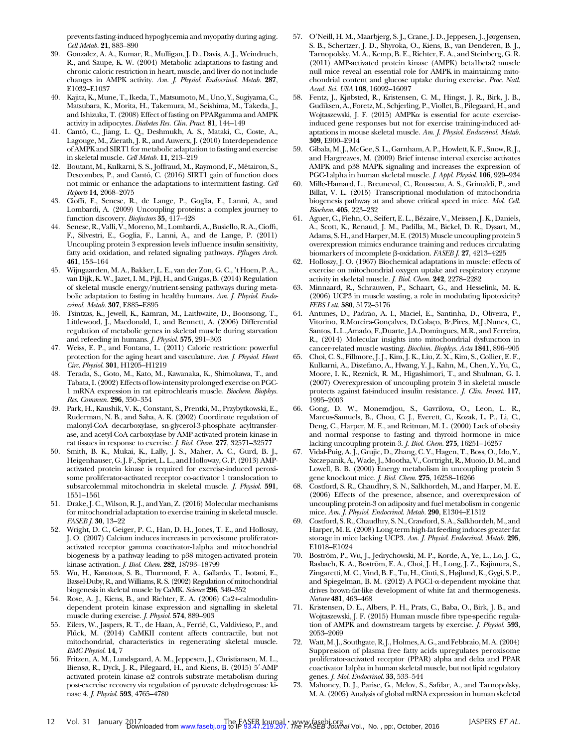prevents fasting-induced hypoglycemia and myopathy during aging. Cell Metab. 21, 883–<sup>890</sup>

- 39. Gonzalez, A. A., Kumar, R., Mulligan, J. D., Davis, A. J., Weindruch, R., and Saupe, K. W. (2004) Metabolic adaptations to fasting and chronic caloric restriction in heart, muscle, and liver do not include changes in AMPK activity. Am. J. Physiol. Endocrinol. Metab. 287, E1032–E1037
- 40. Kajita, K., Mune, T., Ikeda, T., Matsumoto, M., Uno, Y., Sugiyama, C., Matsubara, K., Morita, H., Takemura, M., Seishima, M., Takeda, J., and Ishizuka, T. (2008) Effect of fasting on PPARgamma and AMPK activity in adipocytes. Diabetes Res. Clin. Pract. 81, 144–<sup>149</sup>
- 41. Cantó, C., Jiang, L. Q., Deshmukh, A. S., Mataki, C., Coste, A., Lagouge, M., Zierath, J. R., and Auwerx, J. (2010) Interdependence of AMPK and SIRT1 for metabolic adaptation to fasting and exercise in skeletal muscle. Cell Metab. 11, 213–<sup>219</sup>
- 42. Boutant, M., Kulkarni, S. S., Joffraud, M., Raymond, F., Metairon, S., ´ Descombes, P., and Cantó, C. (2016) SIRT1 gain of function does not mimic or enhance the adaptations to intermittent fasting. Cell Reborts 14. 2068–2075
- Reports 14, 2068–<sup>2075</sup> 43. Cioffi, F., Senese, R., de Lange, P., Goglia, F., Lanni, A., and Lombardi, A. (2009) Uncoupling proteins: a complex journey to function discovery. Biofactors 35, 417–<sup>428</sup>
- 44. Senese, R., Valli, V., Moreno, M., Lombardi, A., Busiello, R. A., Cioffi, F., Silvestri, E., Goglia, F., Lanni, A., and de Lange, P. (2011) Uncoupling protein 3 expression levels influence insulin sensitivity, fatty acid oxidation, and related signaling pathways. Pflugers Arch. 461, 153–<sup>164</sup>
- 45. Wijngaarden, M. A., Bakker, L. E., van der Zon, G. C., 't Hoen, P. A., van Dijk, K. W., Jazet, I. M., Pijl, H., and Guigas, B. (2014) Regulation of skeletal muscle energy/nutrient-sensing pathways during metabolic adaptation to fasting in healthy humans. Am. J. Physiol. Endocrinol. Metab. 307, E885–E895
- 46. Tsintzas, K., Jewell, K., Kamran, M., Laithwaite, D., Boonsong, T., Littlewood, J., Macdonald, I., and Bennett, A. (2006) Differential regulation of metabolic genes in skeletal muscle during starvation and refeeding in humans. J. Physiol. 575, 291–<sup>303</sup>
- 47. Weiss, E. P., and Fontana, L. (2011) Caloric restriction: powerful protection for the aging heart and vasculature. Am. J. Physiol. Heart Circ. Physiol. 301, H1205–H1219
- 48. Terada, S., Goto, M., Kato, M., Kawanaka, K., Shimokawa, T., and Tabata, I. (2002) Effects of low-intensity prolonged exercise on PGC-1 mRNA expression in rat epitrochlearis muscle. Biochem. Biophys. Res. Commun. 296, 350–<sup>354</sup>
- 49. Park, H., Kaushik, V. K., Constant, S., Prentki, M., Przybytkowski, E., Ruderman, N. B., and Saha, A. K. (2002) Coordinate regulation of malonyl-CoA decarboxylase, sn-glycerol-3-phosphate acyltransferase, and acetyl-CoA carboxylase by AMP-activated protein kinase in rat tissues in response to exercise. J. Biol. Chem. 277, 32571–<sup>32577</sup>
- 50. Smith, B. K., Mukai, K., Lally, J. S., Maher, A. C., Gurd, B. J., Heigenhauser, G. J. F., Spriet, L. L., and Holloway, G. P. (2013) AMPactivated protein kinase is required for exercise-induced peroxisome proliferator-activated receptor co-activator 1 translocation to subsarcolemmal mitochondria in skeletal muscle. J. Physiol. 591, 1551–1561
- 51. Drake, J. C., Wilson, R. J., and Yan, Z. (2016) Molecular mechanisms for mitochondrial adaptation to exercise training in skeletal muscle. FASEB J. 30, 13–<sup>22</sup>
- 52. Wright, D. C., Geiger, P. C., Han, D. H., Jones, T. E., and Holloszy, J. O. (2007) Calcium induces increases in peroxisome proliferatoractivated receptor gamma coactivator-1alpha and mitochondrial biogenesis by a pathway leading to p38 mitogen-activated protein kinase activation. J. Biol. Chem. 282, 18793–<sup>18799</sup>
- 53. Wu, H., Kanatous, S. B., Thurmond, F. A., Gallardo, T., Isotani, E., Bassel-Duby, R., and Williams, R. S. (2002) Regulation of mitochondrial biogenesis in skeletal muscle by CaMK. Science 296, 349–<sup>352</sup>
- 54. Rose, A. J., Kiens, B., and Richter, E. A. (2006) Ca2+-calmodulindependent protein kinase expression and signalling in skeletal muscle during exercise. J. Physiol. 574, 889–<sup>903</sup>
- 55. Eilers, W., Jaspers, R. T., de Haan, A., Ferrie, C., Valdivieso, P., and ´ Flück, M. (2014) CaMKII content affects contractile, but not mitochondrial, characteristics in regenerating skeletal muscle. BMC Physiol. **14**, 7
- 56. Fritzen, A. M., Lundsgaard, A. M., Jeppesen, J., Christiansen, M. L., Biensø, R., Dyck, J. R., Pilegaard, H., and Kiens, B. (2015) 5'-AMP activated protein kinase  $\alpha$ 2 controls substrate metabolism during post-exercise recovery via regulation of pyruvate dehydrogenase kinase 4. J. Physiol. 593, 4765–<sup>4780</sup>
- 57. O'Neill, H. M., Maarbjerg, S. J., Crane, J. D., Jeppesen, J., Jørgensen, S. B., Schertzer, J. D., Shyroka, O., Kiens, B., van Denderen, B. J., Tarnopolsky, M. A., Kemp, B. E., Richter, E. A., and Steinberg, G. R. (2011) AMP-activated protein kinase (AMPK) beta1beta2 muscle null mice reveal an essential role for AMPK in maintaining mitochondrial content and glucose uptake during exercise. Proc. Natl. Acad. Sci. USA 108, 16092–<sup>16097</sup>
- 58. Fentz, J., Kjøbsted, R., Kristensen, C. M., Hingst, J. R., Birk, J. B., Gudiksen, A., Foretz, M., Schjerling, P., Viollet, B., Pilegaard, H., and Wojtaszewski, J. F. (2015) AMPKa is essential for acute exerciseinduced gene responses but not for exercise training-induced adaptations in mouse skeletal muscle. Am. J. Physiol. Endocrinol. Metab. <sup>309</sup>, E900–E914
- 59. Gibala, M. J., McGee, S. L., Garnham, A. P., Howlett, K. F., Snow, R. J., and Hargreaves, M. (2009) Brief intense interval exercise activates AMPK and p38 MAPK signaling and increases the expression of PGC-1alpha in human skeletal muscle. J. Appl. Physiol. 106, 929–<sup>934</sup>
- 60. Mille-Hamard, L., Breuneval, C., Rousseau, A. S., Grimaldi, P., and Billat, V. L. (2015) Transcriptional modulation of mitochondria biogenesis pathway at and above critical speed in mice. Mol. Cell. Biochem. 405, 223–<sup>232</sup>
- 61. Aguer, C., Fiehn, O., Seifert, E. L., Bézaire, V., Meissen, J. K., Daniels, A., Scott, K., Renaud, J. M., Padilla, M., Bickel, D. R., Dysart, M., Adams, S. H., and Harper, M. E. (2013) Muscle uncoupling protein 3 overexpression mimics endurance training and reduces circulating biomarkers of incomplete  $\beta$ -oxidation. FASEB J. 27, 4213-4225
- 62. Holloszy, J. O. (1967) Biochemical adaptations in muscle: effects of exercise on mitochondrial oxygen uptake and respiratory enzyme activity in skeletal muscle. J. Biol. Chem. 242, 2278–<sup>2282</sup>
- 63. Minnaard, R., Schrauwen, P., Schaart, G., and Hesselink, M. K. (2006) UCP3 in muscle wasting, a role in modulating lipotoxicity? FEBS Lett. 580, 5172–<sup>5176</sup>
- 64. Antunes, D., Padrão, A. I., Maciel, E., Santinha, D., Oliveira, P., Vitorino, R.Moreira-Gonçalves, D.Colaço, B·,Pires, M.J.,Nunes, C., Santos, L.L.,Amado, F.,Duarte, J.A.,Domingues, M.R., and Ferreira, R., (2014) Molecular insights into mitochondrial dysfunction in cancer-related muscle wasting. *Biochim. Biophys. Acta* 1841, 896-905
- cancer-related muscle wasting. *Biochim. Biophys. Acta* 1841, 896–905<br>65. Choi, C. S., Fillmore, J. J., Kim, J. K., Liu, Z. X., Kim, S., Collier, E. F., Kulkarni, A., Distefano, A., Hwang, Y. J., Kahn, M., Chen, Y., Yu, C., Moore, I. K., Reznick, R. M., Higashimori, T., and Shulman, G. I. (2007) Overexpression of uncoupling protein 3 in skeletal muscle protects against fat-induced insulin resistance. *J. Clin. Invest.* 117, 1995–2003
- 66. Gong, D. W., Monemdjou, S., Gavrilova, O., Leon, L. R., Marcus-Samuels, B., Chou, C. J., Everett, C., Kozak, L. P., Li, C., Deng, C., Harper, M. E., and Reitman, M. L. (2000) Lack of obesity and normal response to fasting and thyroid hormone in mice lacking uncoupling protein-3. J. Biol. Chem. 275, 16251–<sup>16257</sup>
- 67. Vidal-Puig, A. J., Grujic, D., Zhang, C. Y., Hagen, T., Boss, O., Ido, Y., Szczepanik, A.,Wade, J., Mootha, V., Cortright, R., Muoio, D.M., and Lowell, B. B. (2000) Energy metabolism in uncoupling protein 3 gene knockout mice. J. Biol. Chem. 275, 16258–<sup>16266</sup>
- Costford, S. R., Chaudhry, S. N., Salkhordeh, M., and Harper, M. E. (2006) Effects of the presence, absence, and overexpression of uncoupling protein-3 on adiposity and fuel metabolism in congenic mice. Am. J. Physiol. Endocrinol. Metab. 290, E1304–E1312
- 69. Costford, S. R., Chaudhry, S. N., Crawford, S. A., Salkhordeh, M., and Harper, M. E. (2008) Long-term high-fat feeding induces greater fat storage in mice lacking UCP3. Am. J. Physiol. Endocrinol. Metab. 295, E1018–E1024
- 70. Boström, P., Wu, J., Jedrychowski, M. P., Korde, A., Ye, L., Lo, J. C., Rasbach, K. A., Boström, E. A., Choi, J. H., Long, J. Z., Kajimura, S., Zingaretti, M. C., Vind, B. F., Tu, H., Cinti, S., Højlund, K., Gygi, S. P., and Spiegelman, B. M. (2012) A PGC1-a-dependent myokine that drives brown-fat-like development of white fat and thermogenesis.
- Nature 481, 463–<sup>468</sup> 71. Kristensen, D. E., Albers, P. H., Prats, C., Baba, O., Birk, J. B., and Wojtaszewski, J. F. (2015) Human muscle fibre type-specific regulation of AMPK and downstream targets by exercise. J. Physiol. 593, 2053–2069
- 72. Watt, M.J., Southgate, R.J., Holmes, A.G., and Febbraio, M.A. (2004) Suppression of plasma free fatty acids upregulates peroxisome proliferator-activated receptor (PPAR) alpha and delta and PPAR coactivator 1alpha in human skeletal muscle, but not lipid regulatory genes. J. Mol. Endocrinol. 33, 533-544
- 73. Mahoney, D. J., Parise, G., Melov, S., Safdar, A., and Tarnopolsky, M. A. (2005) Analysis of global mRNA expression in human skeletal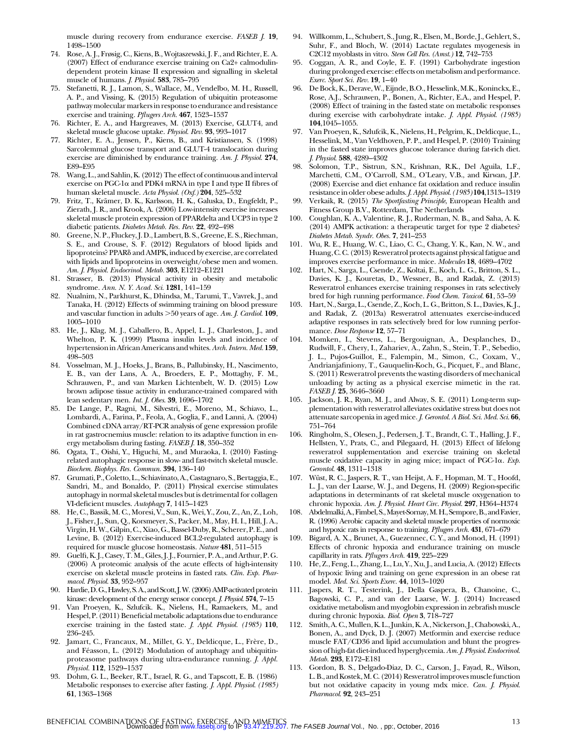muscle during recovery from endurance exercise. FASEB J. 19, 1498–1500

- 74. Rose, A. J., Frøsig, C., Kiens, B., Wojtaszewski, J. F., and Richter, E. A. (2007) Effect of endurance exercise training on Ca2+ calmodulindependent protein kinase II expression and signalling in skeletal muscle of humans. J. Physiol. 583, 785–<sup>795</sup>
- 75. Stefanetti, R. J., Lamon, S., Wallace, M., Vendelbo, M. H., Russell, A. P., and Vissing, K. (2015) Regulation of ubiquitin proteasome pathwaymolecular markers in response to endurance and resistance exercise and training. <sup>P</sup>flugers Arch. 467, 1523–<sup>1537</sup>
- 76. Richter, E. A., and Hargreaves, M. (2013) Exercise, GLUT4, and skeletal muscle glucose uptake. Physiol. Rev. 93, 993–<sup>1017</sup>
- 77. Richter, E. A., Jensen, P., Kiens, B., and Kristiansen, S. (1998) Sarcolemmal glucose transport and GLUT-4 translocation during exercise are diminished by endurance training. Am. J. Physiol. 274, E89–E95
- 78. Wang, L., and Sahlin, K. (2012) The effect of continuous and interval exercise on PGC-1 $\alpha$  and PDK4 mRNA in type I and type II fibres of human skeletal muscle. Acta Physiol. (Oxf.)  $204$ , 525–532
- 79. Fritz, T., Kramer, D. K., Karlsson, H. K., Galuska, D., Engfeldt, P., ¨ Zierath, J. R., and Krook, A. (2006) Low-intensity exercise increases skeletal muscle protein expression of PPARdelta and UCP3 in type 2 diabetic patients. Diabetes Metab. Res. Rev. 22, 492–<sup>498</sup>
- 80. Greene, N. P., Fluckey, J. D., Lambert, B. S., Greene, E. S., Riechman, S. E., and Crouse, S. F. (2012) Regulators of blood lipids and lipoproteins? PPARd and AMPK, induced by exercise, are correlated with lipids and lipoproteins in overweight/obese men and women. Am. J. Physiol. Endocrinol. Metab. 303, E1212–E1221
- 81. Strasser, B. (2013) Physical activity in obesity and metabolic syndrome. Ann. N. Y. Acad. Sci. 1281, 141–<sup>159</sup>
- 82. Nualnim, N., Parkhurst, K., Dhindsa, M., Tarumi, T., Vavrek, J., and Tanaka, H. (2012) Effects of swimming training on blood pressure and vascular function in adults  $>50$  years of age. Am. J. Cardiol. 109, 1005–1010
- 83. He, J., Klag, M. J., Caballero, B., Appel, L. J., Charleston, J., and Whelton, P. K. (1999) Plasma insulin levels and incidence of hypertension in African Americans and whites. Arch. Intern. Med. 159, 498–503
- 84. Vosselman, M. J., Hoeks, J., Brans, B., Pallubinsky, H., Nascimento, E. B., van der Lans, A. A., Broeders, E. P., Mottaghy, F. M., Schrauwen, P., and van Marken Lichtenbelt, W. D. (2015) Low brown adipose tissue activity in endurance-trained compared with lean sedentary men. Int. J. Obes. 39, 1696–<sup>1702</sup>
- 85. De Lange, P., Ragni, M., Silvestri, E., Moreno, M., Schiavo, L., Lombardi, A., Farina, P., Feola, A., Goglia, F., and Lanni, A. (2004) Combined cDNA array/RT-PCR analysis of gene expression profile in rat gastrocnemius muscle: relation to its adaptive function in energy metabolism during fasting. FASEB J. 18, 350–<sup>352</sup>
- 86. Ogata, T., Oishi, Y., Higuchi, M., and Muraoka, I. (2010) Fastingrelated autophagic response in slow- and fast-twitch skeletal muscle. Biochem. Biophys. Res. Commun. 394, 136–<sup>140</sup>
- 87. Grumati, P.,Coletto, L., Schiavinato, A., Castagnaro, S., Bertaggia, E., Sandri, M., and Bonaldo, P. (2011) Physical exercise stimulates autophagy in normal skeletal muscles but is detrimental for collagen VI-deficient muscles. Autophagy 7, 1415–<sup>1423</sup>
- 88. He, C., Bassik, M. C., Moresi, V., Sun, K., Wei, Y., Zou, Z., An, Z., Loh, J., Fisher, J., Sun, Q., Korsmeyer, S., Packer, M., May, H. I., Hill, J. A., Virgin, H.W., Gilpin,C., Xiao, G., Bassel-Duby, R., Scherer, P. E., and Levine, B. (2012) Exercise-induced BCL2-regulated autophagy is required for muscle glucose homeostasis. Nature 481, 511–<sup>515</sup>
- 89. Guelfi, K. J., Casey, T. M., Giles, J. J., Fournier, P. A., and Arthur, P. G. (2006) A proteomic analysis of the acute effects of high-intensity exercise on skeletal muscle proteins in fasted rats. Clin. Exp. Pharmacol. Physiol. 33, 952–<sup>957</sup>
- 90. Hardie, D. G., Hawley, S. A., and Scott, J. W. (2006) AMP-activated protein kinase: development of the energy sensor concept. J. Physiol. 574, 7–<sup>15</sup>
- 91. Van Proeyen, K., Szlufcik. K., Nielens, H., Ramaekers, M., and Hespel, P. (2011) Beneficial metabolic adaptations due to endurance exercise training in the fasted state. J. Appl. Physiol. (1985) 110, 236–245.
- 92. Jamart, C., Francaux, M., Millet, G. Y., Deldicque, L., Frère, D., and Féasson, L. (2012) Modulation of autophagy and ubiquitinproteasome pathways during ultra-endurance running. J. Appl. Physiol. 112, 1529–<sup>1537</sup>
- 93. Dohm, G. L., Beeker, R.T., Israel, R. G., and Tapscott, E. B. (1986) Metabolic responses to exercise after fasting. J. Appl. Physiol. (1985) 61, 1363–<sup>1368</sup>
- 94. Willkomm, L., Schubert, S., Jung, R., Elsen, M., Borde, J., Gehlert, S., Suhr, F., and Bloch, W. (2014) Lactate regulates myogenesis in C2C12 myoblasts in vitro. Stem Cell Res. (Amst.) 12, 742–<sup>753</sup>
- 95. Coggan, A. R., and Coyle, E. F. (1991) Carbohydrate ingestion during prolonged exercise: effects on metabolism and performance.<br>*Exerc. Sport Sci. Rev.* 19. 1–40
- Exerc. Sport Sci. Rev. 19, 1–<sup>40</sup> 96. De Bock, K., Derave, W., Eijnde, B.O., Hesselink,M.K., Koninckx, E., Rose, A.J., Schrauwen, P., Bonen, A., Richter, E.A., and Hespel, P. (2008) Effect of training in the fasted state on metabolic responses during exercise with carbohydrate intake. J. Appl. Physiol. (1985) 104,1045–1055.
- 97. Van Proeyen, K., Szlufcik, K., Nielens, H., Pelgrim, K., Deldicque, L., Hesselink, M., Van Veldhoven, P. P., and Hespel, P. (2010) Training in the fasted state improves glucose tolerance during fat-rich diet. J. Physiol. 588, 4289–<sup>4302</sup>
- 98. Solomon, T.P., Sistrun, S.N., Krishnan, R.K., Del Aguila, L.F., Marchetti, C.M., O'Carroll, S.M., O'Leary, V.B., and Kirwan, J.P. (2008) Exercise and diet enhance fat oxidation and reduce insulin resistance in older obese adults. J. Appl. Physiol. (1985)104,1313-1319
- 99. Verkaik, R. (2015) The Sportfasting Principle, European Health and Fitness Group B.V., Rotterdam, The Netherlands
- 100. Coughlan, K. A., Valentine, R. J., Ruderman, N. B., and Saha, A. K. (2014) AMPK activation: a therapeutic target for type 2 diabetes? Diabetes Metab. Syndr. Obes. 7, 241–<sup>253</sup>
- 101. Wu, R. E., Huang, W. C., Liao, C. C., Chang, Y. K., Kan, N. W., and Huang,C. C. (2013) Resveratrol protects against physical fatigue and improves exercise performance in mice. Molecules 18, 4689–<sup>4702</sup>
- 102. Hart, N., Sarga, L., Csende, Z., Koltai, E., Koch, L. G., Britton, S. L., Davies, K. J., Kouretas, D., Wessner, B., and Radak, Z. (2013) Resveratrol enhances exercise training responses in rats selectively bred for high running performance. Food Chem. Toxicol. 61, 53–<sup>59</sup>
- 103. Hart, N., Sarga, L., Csende, Z., Koch, L. G., Britton, S. L., Davies, K. J., and Radak, Z. (2013a) Resveratrol attenuates exercise-induced adaptive responses in rats selectively bred for low running performance. Dose Response 12, 57–<sup>71</sup>
- 104. Momken, I., Stevens, L., Bergouignan, A., Desplanches, D., Rudwill, F., Chery, I., Zahariev, A., Zahn, S., Stein, T. P., Sebedio, J. L., Pujos-Guillot, E., Falempin, M., Simon, C., Coxam, V., Andrianjafiniony, T., Gauquelin-Koch, G., Picquet, F., and Blanc, S. (2011) Resveratrol prevents the wasting disorders of mechanical unloading by acting as a physical exercise mimetic in the rat. FASEB J. 25, 3646–<sup>3660</sup>
- 105. Jackson, J. R., Ryan, M. J., and Alway, S. E. (2011) Long-term supplementation with resveratrol alleviates oxidative stress but does not attenuate sarcopenia in aged mice. J. Gerontol. A Biol. Sci. Med. Sci. 66, 751–764
- 106. Ringholm, S., Olesen, J., Pedersen, J. T., Brandt, C. T., Halling, J. F., Hellsten, Y., Prats, C., and Pilegaard, H. (2013) Effect of lifelong resveratrol supplementation and exercise training on skeletal muscle oxidative capacity in aging mice; impact of PGC-1 $\alpha$ . Exp. Gerontol. 48, 1311–<sup>1318</sup>
- 107. Wüst, R. C., Jaspers, R. T., van Heijst, A. F., Hopman, M. T., Hoofd, L. J., van der Laarse, W. J., and Degens, H. (2009) Region-specific adaptations in determinants of rat skeletal muscle oxygenation to chronic hypoxia. Am. J. Physiol. Heart Circ. Physiol. 297, H364–H374
- 108. Abdelmalki,A., Fimbel, S.,Mayet-Sornay,M.H., Sempore,B.,and Favier, R. (1996) Aerobic capacity and skeletal muscle properties of normoxic and hypoxic rats in response to training. <sup>P</sup>flugers Arch. 431, 671–<sup>679</sup>
- 109. Bigard, A. X., Brunet, A., Guezennec, C. Y., and Monod, H. (1991) Effects of chronic hypoxia and endurance training on muscle capillarity in rats. <sup>P</sup>flugers Arch. 419, 225–<sup>229</sup>
- 110. He, Z., Feng, L., Zhang, L., Lu, Y., Xu, J., and Lucia, A. (2012) Effects of hypoxic living and training on gene expression in an obese rat model. Med. Sci. Sports Exerc. 44, 1013–<sup>1020</sup>
- 111. Jaspers, R. T., Testerink, J., Della Gaspera, B., Chanoine, C., Bagowski, C. P., and van der Laarse, W. J. (2014) Increased oxidative metabolism and myoglobin expression in zebrafish muscle during chronic hypoxia. Biol. Open 3, 718–<sup>727</sup>
- 112. Smith, A.C.,Mullen, K. L., Junkin, K. A., Nickerson, J.,Chabowski, A., Bonen, A., and Dyck, D. J. (2007) Metformin and exercise reduce muscle FAT/CD36 and lipid accumulation and blunt the progression of high-fat diet-induced hyperglycemia.Am. J. Physiol. Endocrinol. Metab. 293, E172–E181
- 113. Gordon, B. S., Delgado-Diaz, D. C., Carson, J., Fayad, R., Wilson, L. B., and Kostek, M. C. (2014) Resveratrol improves muscle function but not oxidative capacity in young mdx mice. Can. J. Physiol. Pharmacol. 92, 243–<sup>251</sup>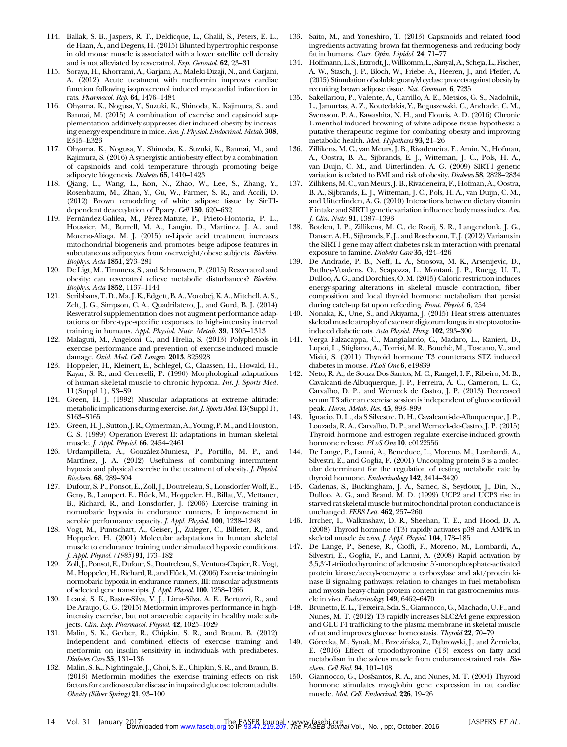- 114. Ballak, S. B., Jaspers, R. T., Deldicque, L., Chalil, S., Peters, E. L., de Haan, A., and Degens, H. (2015) Blunted hypertrophic response in old mouse muscle is associated with a lower satellite cell density and is not alleviated by resveratrol. Exp. Gerontol. 62, 23–<sup>31</sup>
- 115. Soraya, H., Khorrami, A., Garjani, A., Maleki-Dizaji, N., and Garjani, A. (2012) Acute treatment with metformin improves cardiac function following isoproterenol induced myocardial infarction in rats. Pharmacol. Rep. 64, 1476–<sup>1484</sup>
- 116. Ohyama, K., Nogusa, Y., Suzuki, K., Shinoda, K., Kajimura, S., and Bannai, M. (2015) A combination of exercise and capsinoid supplementation additively suppresses diet-induced obesity by increasing energy expenditure in mice. Am. J. Physiol. Endocrinol. Metab. 308, E315–E323
- 117. Ohyama, K., Nogusa, Y., Shinoda, K., Suzuki, K., Bannai, M., and Kajimura, S. (2016) A synergistic antiobesity effect by a combination of capsinoids and cold temperature through promoting beige adipocyte biogenesis. Diabetes 65, 1410–<sup>1423</sup>
- 118. Qiang, L., Wang, L., Kon, N., Zhao, W., Lee, S., Zhang, Y., Rosenbaum, M., Zhao, Y., Gu, W., Farmer, S. R., and Accili, D. (2012) Brown remodeling of white adipose tissue by SirT1 dependent deacetylation of Pparg. Cell 150, 620–<sup>632</sup>
- 119. Fernández-Galilea, M., Pérez-Matute, P., Prieto-Hontoria, P. L., Houssier, M., Burrell, M. A., Langin, D., Martínez, J. A., and Moreno-Aliaga, M. J. (2015) a-Lipoic acid treatment increases mitochondrial biogenesis and promotes beige adipose features in subcutaneous adipocytes from overweight/obese subjects. Biochim. Biophys. Acta 1851, 273–<sup>281</sup>
- 120. De Ligt, M., Timmers, S., and Schrauwen, P. (2015) Resveratrol and obesity: can resveratrol relieve metabolic disturbances? Biochim. Biophys. Acta 1852, 1137–<sup>1144</sup>
- 121. Scribbans, T. D., Ma, J. K., Edgett, B. A., Vorobej, K. A., Mitchell, A. S., Zelt, J. G., Simpson, C. A., Quadrilatero, J., and Gurd, B. J. (2014) Resveratrol supplementation does not augment performance adaptations or fibre-type-specific responses to high-intensity interval training in humans. Appl. Physiol. Nutr. Metab. 39, 1305–<sup>1313</sup>
- 122. Malaguti, M., Angeloni, C., and Hrelia, S. (2013) Polyphenols in exercise performance and prevention of exercise-induced muscle damage. Oxid. Med. Cell. Longev. 2013, 825928
- 123. Hoppeler, H., Kleinert, E., Schlegel, C., Claassen, H., Howald, H., Kayar, S. R., and Cerretelli, P. (1990) Morphological adaptations of human skeletal muscle to chronic hypoxia. Int. J. Sports Med. 11(Suppl 1), S3–S9
- 124. Green, H. J. (1992) Muscular adaptations at extreme altitude: metabolic implications during exercise. Int. J. Sports Med. 13(Suppl 1), S163–S165
- 125. Green, H. J., Sutton, J. R., Cymerman, A., Young, P.M., and Houston, C. S. (1989) Operation Everest II: adaptations in human skeletal muscle. J. Appl. Physiol. 66, 2454–<sup>2461</sup>
- 126. Urdampilleta, A., Gonzalez-Muniesa, P., Portillo, M. P., and ´ Martínez, J. A. (2012) Usefulness of combining intermittent hypoxia and physical exercise in the treatment of obesity. J. Physiol. Biochem. 68, 289–<sup>304</sup>
- 127. Dufour, S. P., Ponsot, E., Zoll, J., Doutreleau, S., Lonsdorfer-Wolf, E., Geny, B., Lampert, E., Flück, M., Hoppeler, H., Billat, V., Mettauer, B., Richard, R., and Lonsdorfer, J. (2006) Exercise training in normobaric hypoxia in endurance runners, I: improvement in aerobic performance capacity. J. Appl. Physiol. 100, 1238–<sup>1248</sup>
- 128. Vogt, M., Puntschart, A., Geiser, J., Zuleger, C., Billeter, R., and Hoppeler, H. (2001) Molecular adaptations in human skeletal muscle to endurance training under simulated hypoxic conditions. J. Appl. Physiol. (1985) 91, 173–<sup>182</sup>
- 129. Zoll, J., Ponsot, E., Dufour, S., Doutreleau, S., Ventura-Clapier, R., Vogt, M., Hoppeler, H., Richard, R., and Flück, M. (2006) Exercise training in normobaric hypoxia in endurance runners, III: muscular adjustments of selected gene transcripts. J. Appl. Physiol. 100, 1258–<sup>1266</sup>
- 130. Learsi, S. K., Bastos-Silva, V. J., Lima-Silva, A. E., Bertuzzi, R., and De Araujo, G. G. (2015) Metformin improves performance in highintensity exercise, but not anaerobic capacity in healthy male subjects. Clin. Exp. Pharmacol. Physiol. 42, 1025–<sup>1029</sup>
- 131. Malin, S. K., Gerber, R., Chipkin, S. R., and Braun, B. (2012) Independent and combined effects of exercise training and metformin on insulin sensitivity in individuals with prediabetes. Diabetes Care 35, 131–<sup>136</sup>
- 132. Malin, S. K., Nightingale, J., Choi, S. E., Chipkin, S. R., and Braun, B. (2013) Metformin modifies the exercise training effects on risk factors for cardiovascular disease in impaired glucose tolerant adults. Obesity (Silver Spring) 21, 93–<sup>100</sup>
- 133. Saito, M., and Yoneshiro, T. (2013) Capsinoids and related food ingredients activating brown fat thermogenesis and reducing body fat in humans. Curr. Opin. Lipidol. 24, 71–<sup>77</sup>
- 134. Hoffmann, L. S., Etzrodt, J.,Willkomm, L., Sanyal,A., Scheja, L., Fischer, A. W., Stasch, J. P., Bloch, W., Friebe, A., Heeren, J., and Pfeifer, A. (2015) Stimulation of soluble guanylyl cyclase protects against obesity by recruiting brown adipose tissue. Nat. Commun. 6, 7235
- 135. Sakellariou, P., Valente, A., Carrillo, A. E., Metsios, G. S., Nadolnik, L., Jamurtas, A. Z., Koutedakis, Y., Boguszewski, C., Andrade, C. M., Svensson, P. A., Kawashita, N. H., and Flouris, A. D. (2016) Chronic L-menthol-induced browning of white adipose tissue hypothesis: a putative therapeutic regime for combating obesity and improving metabolic health. Med. Hypotheses 93, 21–<sup>26</sup>
- 136. Zillikens, M. C., van Meurs, J. B., Rivadeneira, F., Amin, N., Hofman, A., Oostra, B. A., Sijbrands, E. J., Witteman, J. C., Pols, H. A., van Duijn, C. M., and Uitterlinden, A. G. (2009) SIRT1 genetic variation is related to BMI and risk of obesity. Diabetes 58, 2828–<sup>2834</sup>
- 137. Zillikens,M. C., van Meurs, J. B., Rivadeneira, F., Hofman, A., Oostra, B. A., Sijbrands, E. J., Witteman, J. C., Pols, H. A., van Duijn, C. M., and Uitterlinden, A. G. (2010) Interactions between dietary vitamin E intake and SIRT1 genetic variation influence bodymass index.Am. J. Clin. Nutr. 91, 1387–<sup>1393</sup>
- 138. Botden, I. P., Zillikens, M. C., de Rooij, S. R., Langendonk, J. G., Danser, A. H., Sijbrands, E. J., and Roseboom, T. J. (2012) Variants in the SIRT1 gene may affect diabetes risk in interaction with prenatal exposure to famine. Diabetes Care 35, 424–<sup>426</sup>
- 139. De Andrade, P. B., Neff, L. A., Strosova, M. K., Arsenijevic, D., Patthey-Vuadens, O., Scapozza, L., Montani, J. P., Ruegg, U. T., Dulloo, A. G., and Dorchies, O. M. (2015) Caloric restriction induces energy-sparing alterations in skeletal muscle contraction, fiber composition and local thyroid hormone metabolism that persist during catch-up fat upon refeeding. Front. Physiol. 6, 254
- 140. Nonaka, K., Une, S., and Akiyama, J. (2015) Heat stress attenuates skeletal muscle atrophy of extensor digitorum longus in streptozotocininduced diabetic rats. Acta Physiol. Hung. 102, 293–<sup>300</sup>
- 141. Verga Falzacappa, C., Mangialardo, C., Madaro, L., Ranieri, D., Lupoi, L., Stigliano, A., Torrisi, M. R., Bouche, M., Toscano, V., and ` Misiti, S. (2011) Thyroid hormone T3 counteracts STZ induced diabetes in mouse. PLoS One 6, e19839
- 142. Neto, R. A., de Souza Dos Santos, M. C., Rangel, I. F., Ribeiro, M. B., Cavalcanti-de-Albuquerque, J. P., Ferreira, A. C., Cameron, L. C., Carvalho, D. P., and Werneck de Castro, J. P. (2013) Decreased serum T3 after an exercise session is independent of glucocorticoid peak. Horm. Metab. Res. 45, 893–<sup>899</sup>
- 143. Ignacio, D. L., da S Silvestre, D. H., Cavalcanti-de-Albuquerque, J. P., Louzada, R. A., Carvalho, D. P., and Werneck-de-Castro, J. P. (2015) Thyroid hormone and estrogen regulate exercise-induced growth hormone release. PLoS One 10, e0122556
- 144. De Lange, P., Lanni, A., Beneduce, L., Moreno, M., Lombardi, A., Silvestri, E., and Goglia, F. (2001) Uncoupling protein-3 is a molecular determinant for the regulation of resting metabolic rate by thyroid hormone. Endocrinology 142, 3414–<sup>3420</sup>
- 145. Cadenas, S., Buckingham, J. A., Samec, S., Seydoux, J., Din, N., Dulloo, A. G., and Brand, M. D. (1999) UCP2 and UCP3 rise in starved rat skeletal muscle but mitochondrial proton conductance is unchanged. FEBS Lett. 462, 257–<sup>260</sup>
- 146. Irrcher, I., Walkinshaw, D. R., Sheehan, T. E., and Hood, D. A. (2008) Thyroid hormone (T3) rapidly activates p38 and AMPK in skeletal muscle in vivo. J. Appl. Physiol. 104, 178–<sup>185</sup>
- 147. De Lange, P., Senese, R., Cioffi, F., Moreno, M., Lombardi, A., Silvestri, E., Goglia, F., and Lanni, A. (2008) Rapid activation by 3,5,3'-L-triiodothyronine of adenosine 5'-monophosphate-activated protein kinase/acetyl-coenzyme a carboxylase and akt/protein kinase B signaling pathways: relation to changes in fuel metabolism and myosin heavy-chain protein content in rat gastrocnemius muscle in vivo. Endocrinology 149, 6462–<sup>6470</sup>
- 148. Brunetto, E. L., Teixeira, Sda. S., Giannocco, G., Machado, U. F., and Nunes, M. T. (2012) T3 rapidly increases SLC2A4 gene expression and GLUT4 trafficking to the plasma membrane in skeletal muscle of rat and improves glucose homeostasis. Thyroid 22, 70–<sup>79</sup>
- 149. Górecka, M., Synak, M., Brzezińska, Z., Dąbrowski, J., and Żernicka, E. (2016) Effect of triiodothyronine (T3) excess on fatty acid metabolism in the soleus muscle from endurance-trained rats. Biochem. Cell Biol. 94, 101–<sup>108</sup>
- 150. Giannocco, G., DosSantos, R. A., and Nunes, M. T. (2004) Thyroid hormone stimulates myoglobin gene expression in rat cardiac muscle. Mol. Cell. Endocrinol. 226, 19–<sup>26</sup>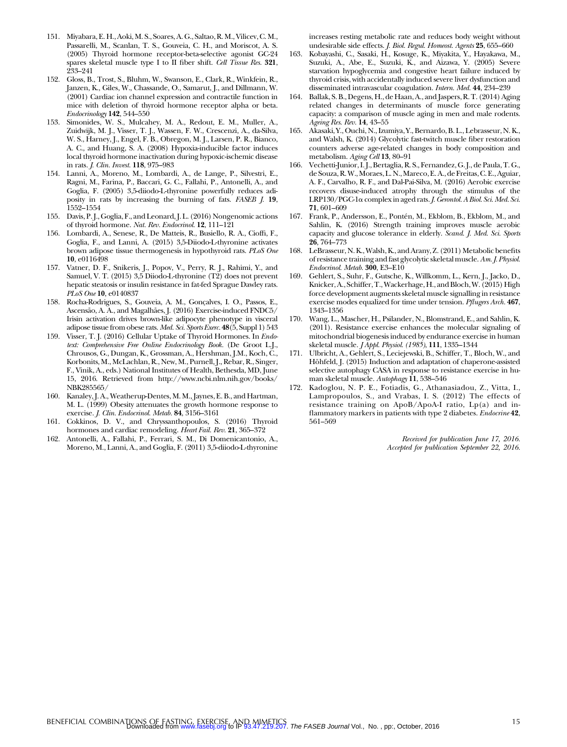- 151. Miyabara, E. H., Aoki, M. S., Soares, A. G., Saltao, R. M., Vilicev,C. M., Passarelli, M., Scanlan, T. S., Gouveia, C. H., and Moriscot, A. S. (2005) Thyroid hormone receptor-beta-selective agonist GC-24 spares skeletal muscle type I to II fiber shift. Cell Tissue Res. 321, 233–241
- 152. Gloss, B., Trost, S., Bluhm, W., Swanson, E., Clark, R., Winkfein, R., Janzen, K., Giles, W., Chassande, O., Samarut, J., and Dillmann, W. (2001) Cardiac ion channel expression and contractile function in mice with deletion of thyroid hormone receptor alpha or beta. Endocrinology 142, 544–<sup>550</sup>
- 153. Simonides, W. S., Mulcahey, M. A., Redout, E. M., Muller, A., Zuidwijk, M. J., Visser, T. J., Wassen, F. W., Crescenzi, A., da-Silva, W. S., Harney, J., Engel, F. B., Obregon, M. J., Larsen, P. R., Bianco, A. C., and Huang, S. A. (2008) Hypoxia-inducible factor induces local thyroid hormone inactivation during hypoxic-ischemic disease in rats. J. Clin. Invest. 118, 975–<sup>983</sup>
- 154. Lanni, A., Moreno, M., Lombardi, A., de Lange, P., Silvestri, E., Ragni, M., Farina, P., Baccari, G. C., Fallahi, P., Antonelli, A., and Goglia, F. (2005) 3,5-diiodo-L-thyronine powerfully reduces adiposity in rats by increasing the burning of fats. FASEB J. 19, 1552–1554
- 155. Davis, P. J., Goglia, F., and Leonard, J. L. (2016) Nongenomic actions of thyroid hormone. Nat. Rev. Endocrinol. 12, 111–<sup>121</sup>
- 156. Lombardi, A., Senese, R., De Matteis, R., Busiello, R. A., Cioffi, F., Goglia, F., and Lanni, A. (2015) 3,5-Diiodo-L-thyronine activates brown adipose tissue thermogenesis in hypothyroid rats. PLoS One 10, e0116498
- 157. Vatner, D. F., Snikeris, J., Popov, V., Perry, R. J., Rahimi, Y., and Samuel, V. T. (2015) 3,5 Diiodo-L-thyronine (T2) does not prevent hepatic steatosis or insulin resistance in fat-fed Sprague Dawley rats. PLoS One 10, e0140837
- 158. Rocha-Rodrigues, S., Gouveia, A. M., Gonçalves, I. O., Passos, E., Ascensão, A. A., and Magalhães, J. (2016) Exercise-induced FNDC5/ Irisin activation drives brown-like adipocyte phenotype in visceral adipose tissue from obese rats. Med. Sci. Sports Exerc. 48(5, Suppl 1) 543
- 159. Visser, T. J. (2016) Cellular Uptake of Thyroid Hormones. In Endotext: Comprehensive Free Online Endocrinology Book. (De Groot L.J., Chrousos, G., Dungan, K., Grossman, A., Hershman, J.M., Koch, C., Korbonits, M., McLachlan, R., New, M., Purnell, J., Rebar, R., Singer, F., Vinik, A., eds.) National Institutes of Health, Bethesda, MD, June 15, 2016. Retrieved from [http://www.ncbi.nlm.nih.gov/books/](http://www.ncbi.nlm.nih.gov/books/NBK285565/) [NBK285565/](http://www.ncbi.nlm.nih.gov/books/NBK285565/)
- 160. Kanaley, J. A., Weatherup-Dentes, M. M., Jaynes, E. B., and Hartman, M. L. (1999) Obesity attenuates the growth hormone response to exercise. J. Clin. Endocrinol. Metab. 84, 3156–<sup>3161</sup>
- 161. Cokkinos, D. V., and Chryssanthopoulos, S. (2016) Thyroid hormones and cardiac remodeling. Heart Fail. Rev. 21, 365-372
- 162. Antonelli, A., Fallahi, P., Ferrari, S. M., Di Domenicantonio, A., Moreno, M., Lanni, A., and Goglia, F. (2011) 3,5-diiodo-L-thyronine

increases resting metabolic rate and reduces body weight without undesirable side effects. J. Biol. Regul. Homeost. Agents 25, 655–<sup>660</sup>

- 163. Kobayashi, C., Sasaki, H., Kosuge, K., Miyakita, Y., Hayakawa, M., Suzuki, A., Abe, E., Suzuki, K., and Aizawa, Y. (2005) Severe starvation hypoglycemia and congestive heart failure induced by thyroid crisis, with accidentally induced severe liver dysfunction and disseminated intravascular coagulation. Intern. Med. 44, 234–<sup>239</sup>
- 164. Ballak, S. B., Degens, H., de Haan, A., and Jaspers, R. T. (2014) Aging related changes in determinants of muscle force generating capacity: a comparison of muscle aging in men and male rodents. Ageing Res. Rev. 14, 43–<sup>55</sup>
- 165. Akasaki, Y., Ouchi, N., Izumiya, Y., Bernardo, B. L., Lebrasseur, N. K., and Walsh, K. (2014) Glycolytic fast-twitch muscle fiber restoration counters adverse age-related changes in body composition and metabolism. Aging Cell 13, 80-91
- 166. Vechetti-Junior, I. J., Bertaglia, R. S., Fernandez, G. J., de Paula, T. G., de Souza, R.W.,Moraes,L. N.,Mareco,E. A., de Freitas,C. E., Aguiar, A. F., Carvalho, R. F., and Dal-Pai-Silva, M. (2016) Aerobic exercise recovers disuse-induced atrophy through the stimulus of the LRP130/PGC-1 $\alpha$  complex in aged rats. J. Gerontol. A Biol. Sci. Med. Sci. 71, 601–<sup>609</sup>
- 167. Frank, P., Andersson, E., Pontén, M., Ekblom, B., Ekblom, M., and Sahlin, K. (2016) Strength training improves muscle aerobic capacity and glucose tolerance in elderly. Scand. J. Med. Sci. Sports 26, 764–<sup>773</sup>
- 168. LeBrasseur, N. K., Walsh, K., and Arany, Z. (2011) Metabolic benefits of resistance training and fast glycolytic skeletal muscle.Am. J. Physiol. Endocrinol. Metab. 300, E3–E10
- 169. Gehlert, S., Suhr, F., Gutsche, K., Willkomm, L., Kern, J., Jacko, D., Knicker, A., Schiffer, T., Wackerhage, H., and Bloch, W. (2015) High force development augments skeletal muscle signalling in resistance exercise modes equalized for time under tension. *Pflugers Arch*. **467**, 1343–1356
- 170. Wang, L., Mascher, H., Psilander, N., Blomstrand, E., and Sahlin, K. (2011). Resistance exercise enhances the molecular signaling of mitochondrial biogenesis induced by endurance exercise in human skeletal muscle. J Appl. Physiol. (1985), 111, 1335–<sup>1344</sup>
- 171. Ulbricht, A., Gehlert, S., Leciejewski, B., Schiffer, T., Bloch, W., and Höhfeld, J. (2015) Induction and adaptation of chaperone-assisted selective autophagy CASA in response to resistance exercise in human skeletal muscle. Autophagy 11, 538–<sup>546</sup>
- 172. Kadoglou, N. P. E., Fotiadis, G., Athanasiadou, Z., Vitta, I., Lampropoulos, S., and Vrabas, I. S. (2012) The effects of resistance training on ApoB/ApoA-I ratio, Lp(a) and inflammatory markers in patients with type 2 diabetes. Endocrine 42, 561–569

Received for publication June 17, 2016. Accepted for publication September 22, 2016.